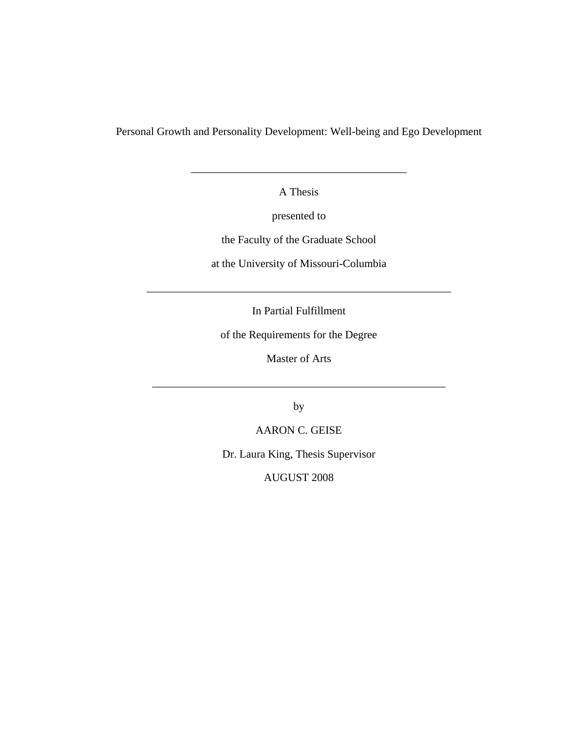Personal Growth and Personality Development: Well-being and Ego Development

A Thesis

\_\_\_\_\_\_\_\_\_\_\_\_\_\_\_\_\_\_\_\_\_\_\_\_\_\_\_\_\_\_\_\_\_\_\_\_\_\_\_

presented to

the Faculty of the Graduate School

at the University of Missouri-Columbia

In Partial Fulfillment

\_\_\_\_\_\_\_\_\_\_\_\_\_\_\_\_\_\_\_\_\_\_\_\_\_\_\_\_\_\_\_\_\_\_\_\_\_\_\_\_\_\_\_\_\_\_\_\_\_\_\_\_\_\_\_

of the Requirements for the Degree

Master of Arts

by

\_\_\_\_\_\_\_\_\_\_\_\_\_\_\_\_\_\_\_\_\_\_\_\_\_\_\_\_\_\_\_\_\_\_\_\_\_\_\_\_\_\_\_\_\_\_\_\_\_\_\_\_\_

AARON C. GEISE

Dr. Laura King, Thesis Supervisor

AUGUST 2008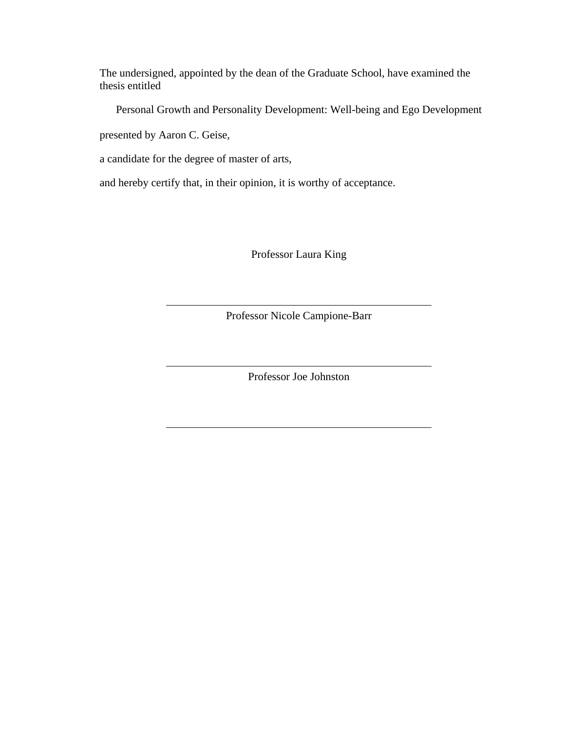The undersigned, appointed by the dean of the Graduate School, have examined the thesis entitled

Personal Growth and Personality Development: Well-being and Ego Development

presented by Aaron C. Geise,

a candidate for the degree of master of arts,

and hereby certify that, in their opinion, it is worthy of acceptance.

Professor Laura King

Professor Nicole Campione-Barr

Professor Joe Johnston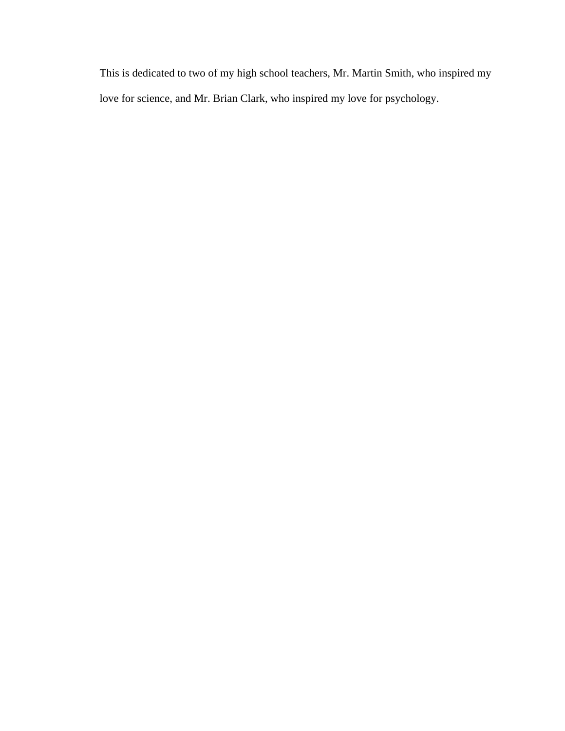This is dedicated to two of my high school teachers, Mr. Martin Smith, who inspired my love for science, and Mr. Brian Clark, who inspired my love for psychology.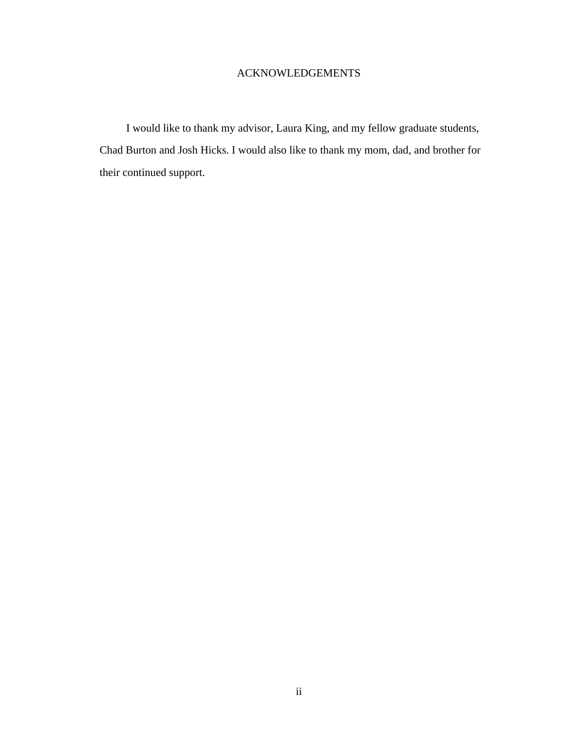# ACKNOWLEDGEMENTS

I would like to thank my advisor, Laura King, and my fellow graduate students, Chad Burton and Josh Hicks. I would also like to thank my mom, dad, and brother for their continued support.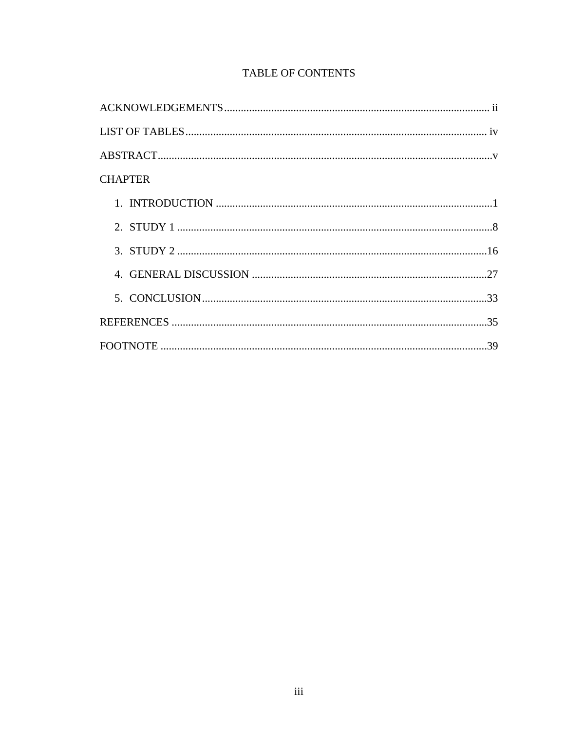| <b>CHAPTER</b> |  |
|----------------|--|
|                |  |
|                |  |
|                |  |
|                |  |
|                |  |
|                |  |
|                |  |

# TABLE OF CONTENTS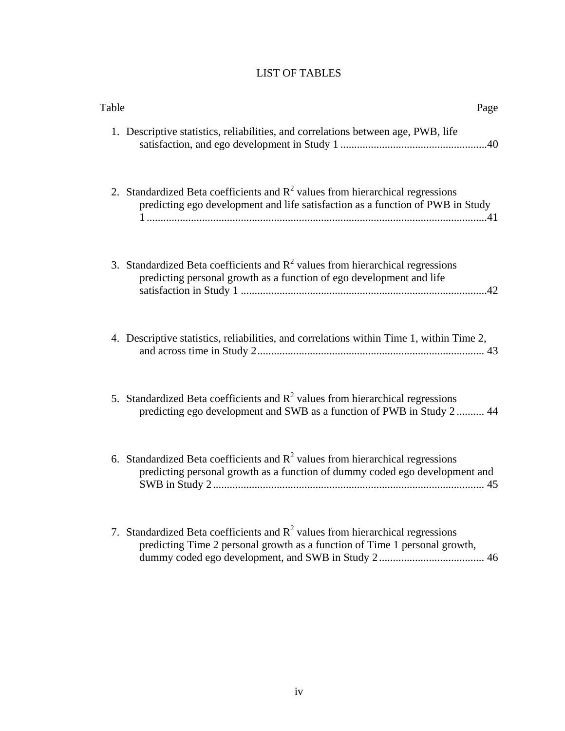# LIST OF TABLES

| Page                                                                                                                                                               | Table |
|--------------------------------------------------------------------------------------------------------------------------------------------------------------------|-------|
| 1. Descriptive statistics, reliabilities, and correlations between age, PWB, life                                                                                  |       |
| 2. Standardized Beta coefficients and $R^2$ values from hierarchical regressions<br>predicting ego development and life satisfaction as a function of PWB in Study |       |
| 3. Standardized Beta coefficients and $R^2$ values from hierarchical regressions<br>predicting personal growth as a function of ego development and life           |       |
| 4. Descriptive statistics, reliabilities, and correlations within Time 1, within Time 2,                                                                           |       |
| 5. Standardized Beta coefficients and $R^2$ values from hierarchical regressions<br>predicting ego development and SWB as a function of PWB in Study 2  44         |       |
| 6. Standardized Beta coefficients and $R^2$ values from hierarchical regressions<br>predicting personal growth as a function of dummy coded ego development and    |       |
| 7. Standardized Beta coefficients and $R^2$ values from hierarchical regressions<br>predicting Time 2 personal growth as a function of Time 1 personal growth,     |       |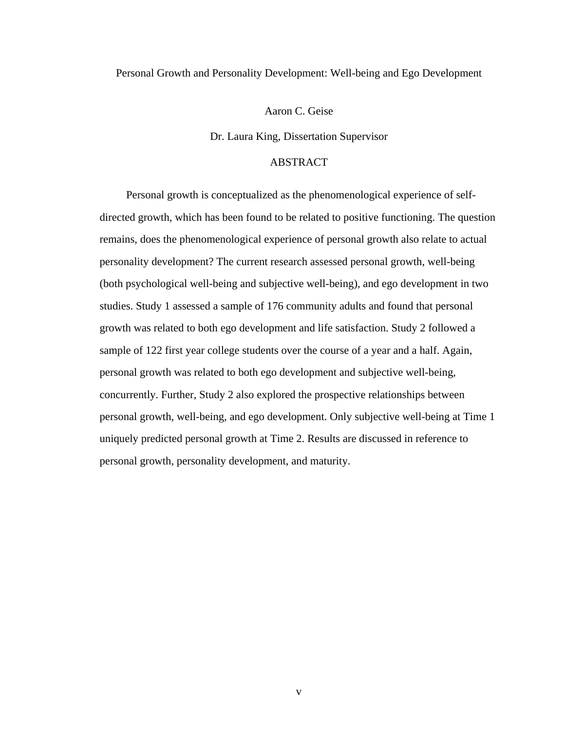### Personal Growth and Personality Development: Well-being and Ego Development

Aaron C. Geise

Dr. Laura King, Dissertation Supervisor

# ABSTRACT

Personal growth is conceptualized as the phenomenological experience of selfdirected growth, which has been found to be related to positive functioning. The question remains, does the phenomenological experience of personal growth also relate to actual personality development? The current research assessed personal growth, well-being (both psychological well-being and subjective well-being), and ego development in two studies. Study 1 assessed a sample of 176 community adults and found that personal growth was related to both ego development and life satisfaction. Study 2 followed a sample of 122 first year college students over the course of a year and a half. Again, personal growth was related to both ego development and subjective well-being, concurrently. Further, Study 2 also explored the prospective relationships between personal growth, well-being, and ego development. Only subjective well-being at Time 1 uniquely predicted personal growth at Time 2. Results are discussed in reference to personal growth, personality development, and maturity.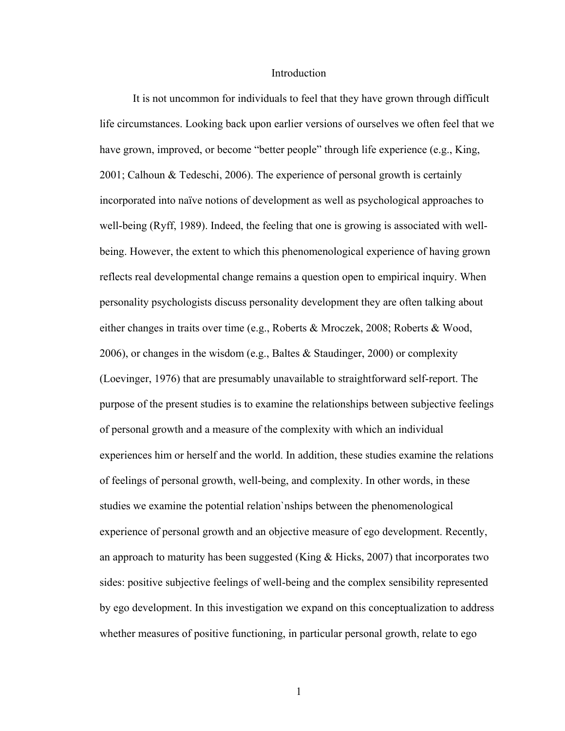#### Introduction

It is not uncommon for individuals to feel that they have grown through difficult life circumstances. Looking back upon earlier versions of ourselves we often feel that we have grown, improved, or become "better people" through life experience (e.g., King, 2001; Calhoun & Tedeschi, 2006). The experience of personal growth is certainly incorporated into naïve notions of development as well as psychological approaches to well-being (Ryff, 1989). Indeed, the feeling that one is growing is associated with wellbeing. However, the extent to which this phenomenological experience of having grown reflects real developmental change remains a question open to empirical inquiry. When personality psychologists discuss personality development they are often talking about either changes in traits over time (e.g., Roberts & Mroczek, 2008; Roberts & Wood, 2006), or changes in the wisdom (e.g., Baltes & Staudinger, 2000) or complexity (Loevinger, 1976) that are presumably unavailable to straightforward self-report. The purpose of the present studies is to examine the relationships between subjective feelings of personal growth and a measure of the complexity with which an individual experiences him or herself and the world. In addition, these studies examine the relations of feelings of personal growth, well-being, and complexity. In other words, in these studies we examine the potential relation`nships between the phenomenological experience of personal growth and an objective measure of ego development. Recently, an approach to maturity has been suggested (King  $\&$  Hicks, 2007) that incorporates two sides: positive subjective feelings of well-being and the complex sensibility represented by ego development. In this investigation we expand on this conceptualization to address whether measures of positive functioning, in particular personal growth, relate to ego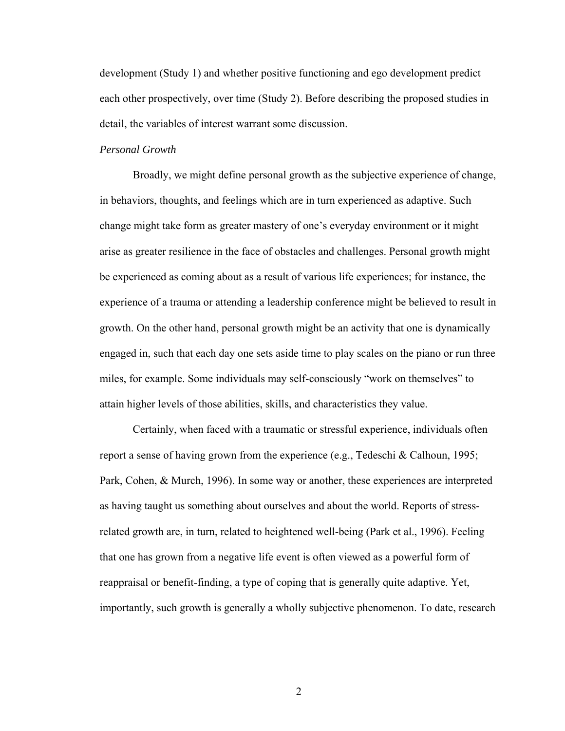development (Study 1) and whether positive functioning and ego development predict each other prospectively, over time (Study 2). Before describing the proposed studies in detail, the variables of interest warrant some discussion.

## *Personal Growth*

 Broadly, we might define personal growth as the subjective experience of change, in behaviors, thoughts, and feelings which are in turn experienced as adaptive. Such change might take form as greater mastery of one's everyday environment or it might arise as greater resilience in the face of obstacles and challenges. Personal growth might be experienced as coming about as a result of various life experiences; for instance, the experience of a trauma or attending a leadership conference might be believed to result in growth. On the other hand, personal growth might be an activity that one is dynamically engaged in, such that each day one sets aside time to play scales on the piano or run three miles, for example. Some individuals may self-consciously "work on themselves" to attain higher levels of those abilities, skills, and characteristics they value.

Certainly, when faced with a traumatic or stressful experience, individuals often report a sense of having grown from the experience (e.g., Tedeschi & Calhoun, 1995; Park, Cohen, & Murch, 1996). In some way or another, these experiences are interpreted as having taught us something about ourselves and about the world. Reports of stressrelated growth are, in turn, related to heightened well-being (Park et al., 1996). Feeling that one has grown from a negative life event is often viewed as a powerful form of reappraisal or benefit-finding, a type of coping that is generally quite adaptive. Yet, importantly, such growth is generally a wholly subjective phenomenon. To date, research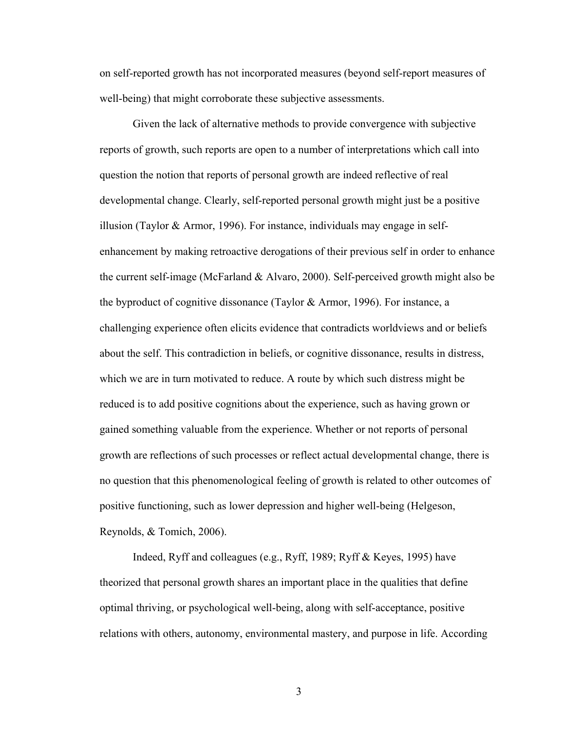on self-reported growth has not incorporated measures (beyond self-report measures of well-being) that might corroborate these subjective assessments.

Given the lack of alternative methods to provide convergence with subjective reports of growth, such reports are open to a number of interpretations which call into question the notion that reports of personal growth are indeed reflective of real developmental change. Clearly, self-reported personal growth might just be a positive illusion (Taylor & Armor, 1996). For instance, individuals may engage in selfenhancement by making retroactive derogations of their previous self in order to enhance the current self-image (McFarland & Alvaro, 2000). Self-perceived growth might also be the byproduct of cognitive dissonance (Taylor & Armor, 1996). For instance, a challenging experience often elicits evidence that contradicts worldviews and or beliefs about the self. This contradiction in beliefs, or cognitive dissonance, results in distress, which we are in turn motivated to reduce. A route by which such distress might be reduced is to add positive cognitions about the experience, such as having grown or gained something valuable from the experience. Whether or not reports of personal growth are reflections of such processes or reflect actual developmental change, there is no question that this phenomenological feeling of growth is related to other outcomes of positive functioning, such as lower depression and higher well-being (Helgeson, Reynolds, & Tomich, 2006).

Indeed, Ryff and colleagues (e.g., Ryff, 1989; Ryff & Keyes, 1995) have theorized that personal growth shares an important place in the qualities that define optimal thriving, or psychological well-being, along with self-acceptance, positive relations with others, autonomy, environmental mastery, and purpose in life. According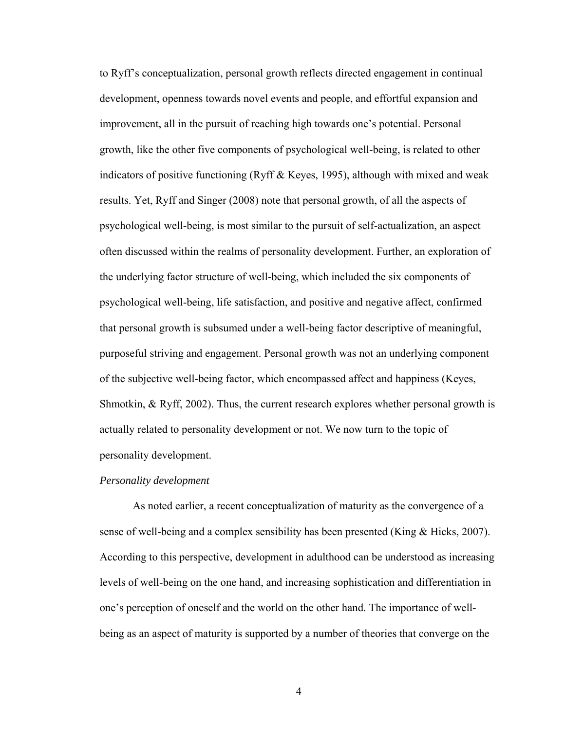to Ryff's conceptualization, personal growth reflects directed engagement in continual development, openness towards novel events and people, and effortful expansion and improvement, all in the pursuit of reaching high towards one's potential. Personal growth, like the other five components of psychological well-being, is related to other indicators of positive functioning (Ryff & Keyes, 1995), although with mixed and weak results. Yet, Ryff and Singer (2008) note that personal growth, of all the aspects of psychological well-being, is most similar to the pursuit of self-actualization, an aspect often discussed within the realms of personality development. Further, an exploration of the underlying factor structure of well-being, which included the six components of psychological well-being, life satisfaction, and positive and negative affect, confirmed that personal growth is subsumed under a well-being factor descriptive of meaningful, purposeful striving and engagement. Personal growth was not an underlying component of the subjective well-being factor, which encompassed affect and happiness (Keyes, Shmotkin, & Ryff, 2002). Thus, the current research explores whether personal growth is actually related to personality development or not. We now turn to the topic of personality development.

### *Personality development*

 As noted earlier, a recent conceptualization of maturity as the convergence of a sense of well-being and a complex sensibility has been presented (King  $\&$  Hicks, 2007). According to this perspective, development in adulthood can be understood as increasing levels of well-being on the one hand, and increasing sophistication and differentiation in one's perception of oneself and the world on the other hand. The importance of wellbeing as an aspect of maturity is supported by a number of theories that converge on the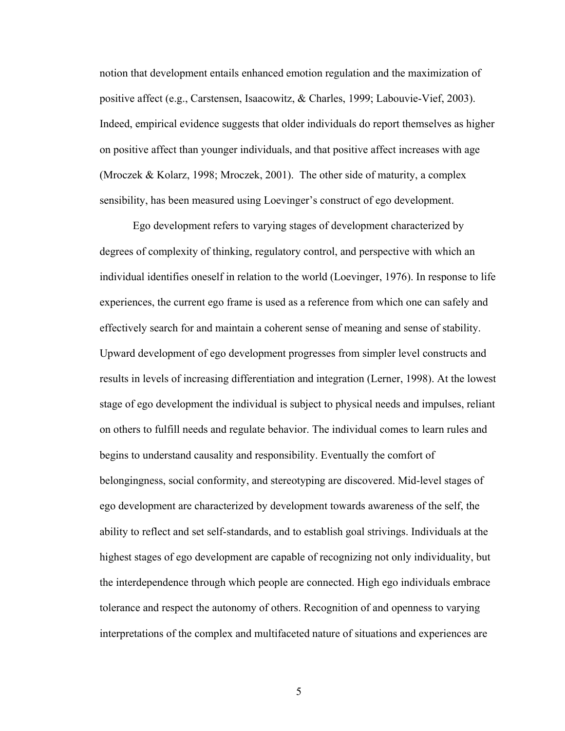notion that development entails enhanced emotion regulation and the maximization of positive affect (e.g., Carstensen, Isaacowitz, & Charles, 1999; Labouvie-Vief, 2003). Indeed, empirical evidence suggests that older individuals do report themselves as higher on positive affect than younger individuals, and that positive affect increases with age (Mroczek & Kolarz, 1998; Mroczek, 2001). The other side of maturity, a complex sensibility, has been measured using Loevinger's construct of ego development.

Ego development refers to varying stages of development characterized by degrees of complexity of thinking, regulatory control, and perspective with which an individual identifies oneself in relation to the world (Loevinger, 1976). In response to life experiences, the current ego frame is used as a reference from which one can safely and effectively search for and maintain a coherent sense of meaning and sense of stability. Upward development of ego development progresses from simpler level constructs and results in levels of increasing differentiation and integration (Lerner, 1998). At the lowest stage of ego development the individual is subject to physical needs and impulses, reliant on others to fulfill needs and regulate behavior. The individual comes to learn rules and begins to understand causality and responsibility. Eventually the comfort of belongingness, social conformity, and stereotyping are discovered. Mid-level stages of ego development are characterized by development towards awareness of the self, the ability to reflect and set self-standards, and to establish goal strivings. Individuals at the highest stages of ego development are capable of recognizing not only individuality, but the interdependence through which people are connected. High ego individuals embrace tolerance and respect the autonomy of others. Recognition of and openness to varying interpretations of the complex and multifaceted nature of situations and experiences are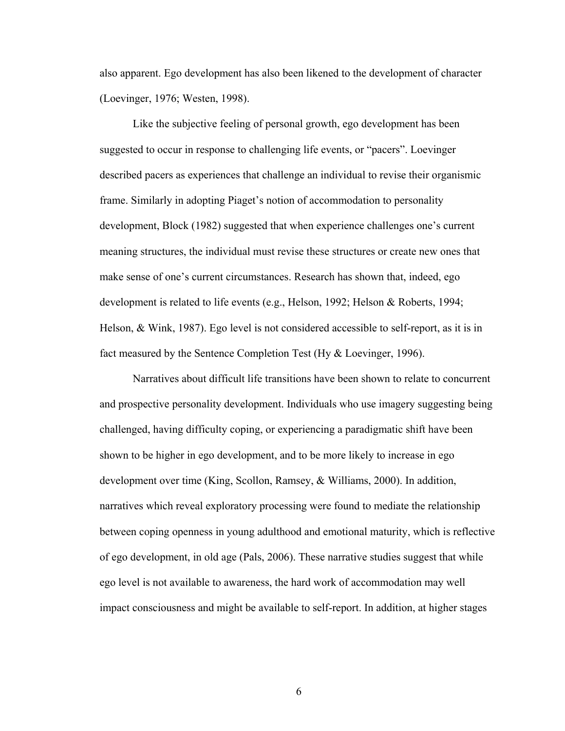also apparent. Ego development has also been likened to the development of character (Loevinger, 1976; Westen, 1998).

Like the subjective feeling of personal growth, ego development has been suggested to occur in response to challenging life events, or "pacers". Loevinger described pacers as experiences that challenge an individual to revise their organismic frame. Similarly in adopting Piaget's notion of accommodation to personality development, Block (1982) suggested that when experience challenges one's current meaning structures, the individual must revise these structures or create new ones that make sense of one's current circumstances. Research has shown that, indeed, ego development is related to life events (e.g., Helson, 1992; Helson & Roberts, 1994; Helson, & Wink, 1987). Ego level is not considered accessible to self-report, as it is in fact measured by the Sentence Completion Test (Hy & Loevinger, 1996).

Narratives about difficult life transitions have been shown to relate to concurrent and prospective personality development. Individuals who use imagery suggesting being challenged, having difficulty coping, or experiencing a paradigmatic shift have been shown to be higher in ego development, and to be more likely to increase in ego development over time (King, Scollon, Ramsey, & Williams, 2000). In addition, narratives which reveal exploratory processing were found to mediate the relationship between coping openness in young adulthood and emotional maturity, which is reflective of ego development, in old age (Pals, 2006). These narrative studies suggest that while ego level is not available to awareness, the hard work of accommodation may well impact consciousness and might be available to self-report. In addition, at higher stages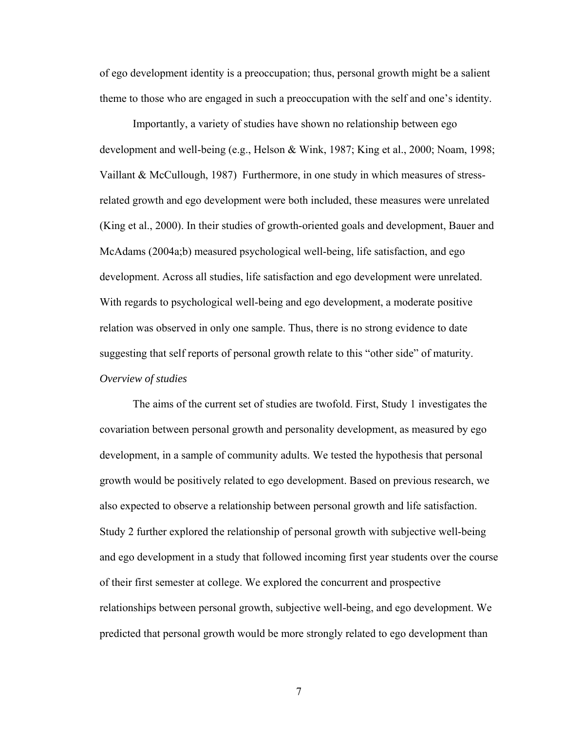of ego development identity is a preoccupation; thus, personal growth might be a salient theme to those who are engaged in such a preoccupation with the self and one's identity.

Importantly, a variety of studies have shown no relationship between ego development and well-being (e.g., Helson & Wink, 1987; King et al., 2000; Noam, 1998; Vaillant & McCullough, 1987) Furthermore, in one study in which measures of stressrelated growth and ego development were both included, these measures were unrelated (King et al., 2000). In their studies of growth-oriented goals and development, Bauer and McAdams (2004a;b) measured psychological well-being, life satisfaction, and ego development. Across all studies, life satisfaction and ego development were unrelated. With regards to psychological well-being and ego development, a moderate positive relation was observed in only one sample. Thus, there is no strong evidence to date suggesting that self reports of personal growth relate to this "other side" of maturity. *Overview of studies* 

The aims of the current set of studies are twofold. First, Study 1 investigates the covariation between personal growth and personality development, as measured by ego development, in a sample of community adults. We tested the hypothesis that personal growth would be positively related to ego development. Based on previous research, we also expected to observe a relationship between personal growth and life satisfaction. Study 2 further explored the relationship of personal growth with subjective well-being and ego development in a study that followed incoming first year students over the course of their first semester at college. We explored the concurrent and prospective relationships between personal growth, subjective well-being, and ego development. We predicted that personal growth would be more strongly related to ego development than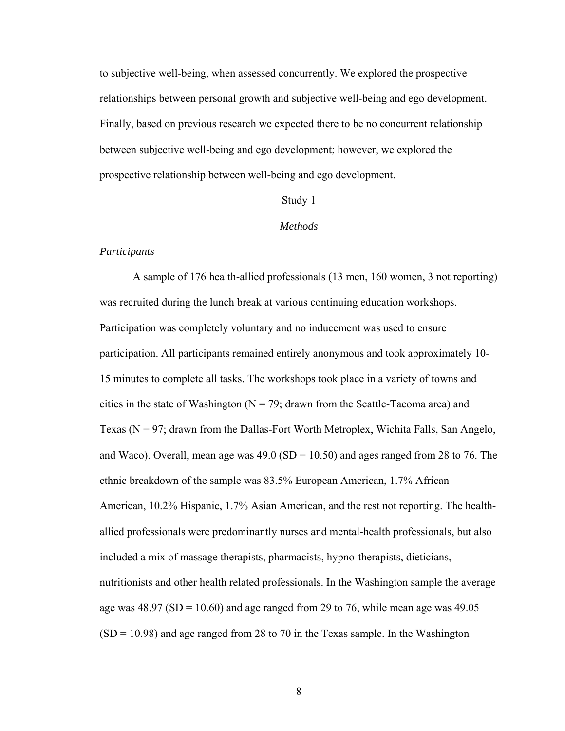to subjective well-being, when assessed concurrently. We explored the prospective relationships between personal growth and subjective well-being and ego development. Finally, based on previous research we expected there to be no concurrent relationship between subjective well-being and ego development; however, we explored the prospective relationship between well-being and ego development.

# Study 1

#### *Methods*

### *Participants*

 A sample of 176 health-allied professionals (13 men, 160 women, 3 not reporting) was recruited during the lunch break at various continuing education workshops. Participation was completely voluntary and no inducement was used to ensure participation. All participants remained entirely anonymous and took approximately 10- 15 minutes to complete all tasks. The workshops took place in a variety of towns and cities in the state of Washington ( $N = 79$ ; drawn from the Seattle-Tacoma area) and Texas (N = 97; drawn from the Dallas-Fort Worth Metroplex, Wichita Falls, San Angelo, and Waco). Overall, mean age was  $49.0$  (SD = 10.50) and ages ranged from 28 to 76. The ethnic breakdown of the sample was 83.5% European American, 1.7% African American, 10.2% Hispanic, 1.7% Asian American, and the rest not reporting. The healthallied professionals were predominantly nurses and mental-health professionals, but also included a mix of massage therapists, pharmacists, hypno-therapists, dieticians, nutritionists and other health related professionals. In the Washington sample the average age was  $48.97$  (SD = 10.60) and age ranged from 29 to 76, while mean age was  $49.05$  $(SD = 10.98)$  and age ranged from 28 to 70 in the Texas sample. In the Washington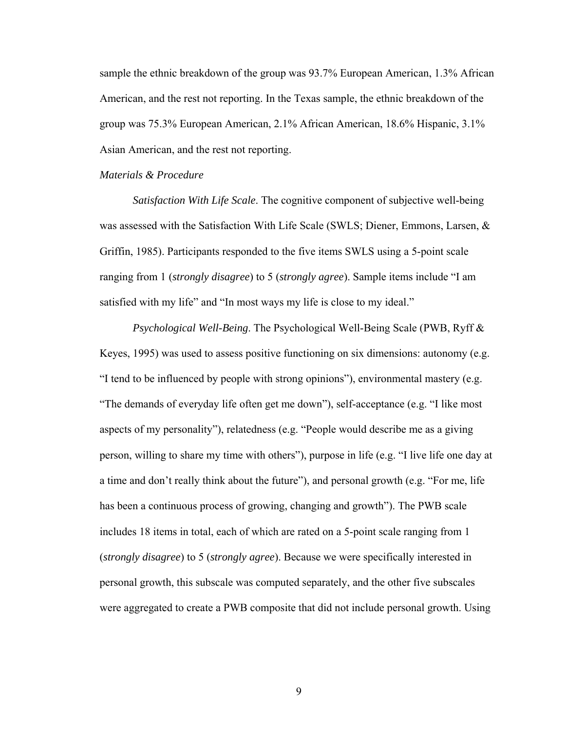sample the ethnic breakdown of the group was 93.7% European American, 1.3% African American, and the rest not reporting. In the Texas sample, the ethnic breakdown of the group was 75.3% European American, 2.1% African American, 18.6% Hispanic, 3.1% Asian American, and the rest not reporting.

# *Materials & Procedure*

*Satisfaction With Life Scale*. The cognitive component of subjective well-being was assessed with the Satisfaction With Life Scale (SWLS; Diener, Emmons, Larsen, & Griffin, 1985). Participants responded to the five items SWLS using a 5-point scale ranging from 1 (*strongly disagree*) to 5 (*strongly agree*). Sample items include "I am satisfied with my life" and "In most ways my life is close to my ideal."

 *Psychological Well-Being*. The Psychological Well-Being Scale (PWB, Ryff & Keyes, 1995) was used to assess positive functioning on six dimensions: autonomy (e.g. "I tend to be influenced by people with strong opinions"), environmental mastery (e.g. "The demands of everyday life often get me down"), self-acceptance (e.g. "I like most aspects of my personality"), relatedness (e.g. "People would describe me as a giving person, willing to share my time with others"), purpose in life (e.g. "I live life one day at a time and don't really think about the future"), and personal growth (e.g. "For me, life has been a continuous process of growing, changing and growth"). The PWB scale includes 18 items in total, each of which are rated on a 5-point scale ranging from 1 (*strongly disagree*) to 5 (*strongly agree*). Because we were specifically interested in personal growth, this subscale was computed separately, and the other five subscales were aggregated to create a PWB composite that did not include personal growth. Using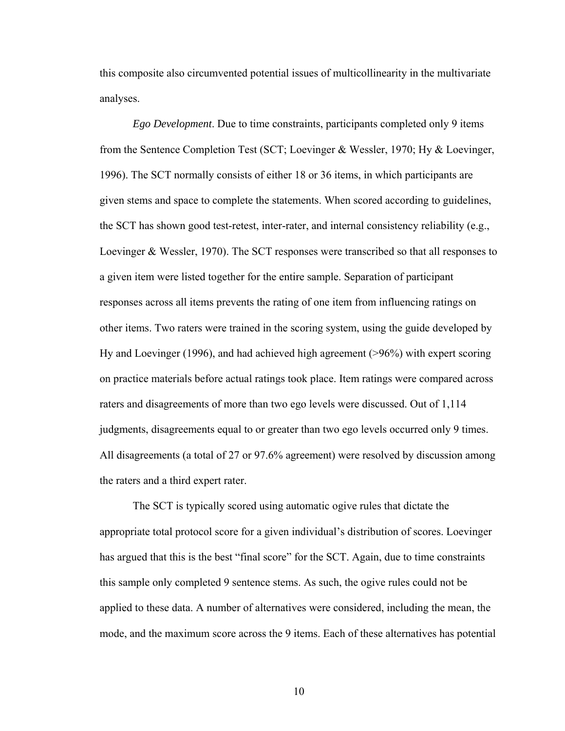this composite also circumvented potential issues of multicollinearity in the multivariate analyses.

 *Ego Development*. Due to time constraints, participants completed only 9 items from the Sentence Completion Test (SCT; Loevinger & Wessler, 1970; Hy & Loevinger, 1996). The SCT normally consists of either 18 or 36 items, in which participants are given stems and space to complete the statements. When scored according to guidelines, the SCT has shown good test-retest, inter-rater, and internal consistency reliability (e.g., Loevinger & Wessler, 1970). The SCT responses were transcribed so that all responses to a given item were listed together for the entire sample. Separation of participant responses across all items prevents the rating of one item from influencing ratings on other items. Two raters were trained in the scoring system, using the guide developed by Hy and Loevinger (1996), and had achieved high agreement (>96%) with expert scoring on practice materials before actual ratings took place. Item ratings were compared across raters and disagreements of more than two ego levels were discussed. Out of 1,114 judgments, disagreements equal to or greater than two ego levels occurred only 9 times. All disagreements (a total of 27 or 97.6% agreement) were resolved by discussion among the raters and a third expert rater.

 The SCT is typically scored using automatic ogive rules that dictate the appropriate total protocol score for a given individual's distribution of scores. Loevinger has argued that this is the best "final score" for the SCT. Again, due to time constraints this sample only completed 9 sentence stems. As such, the ogive rules could not be applied to these data. A number of alternatives were considered, including the mean, the mode, and the maximum score across the 9 items. Each of these alternatives has potential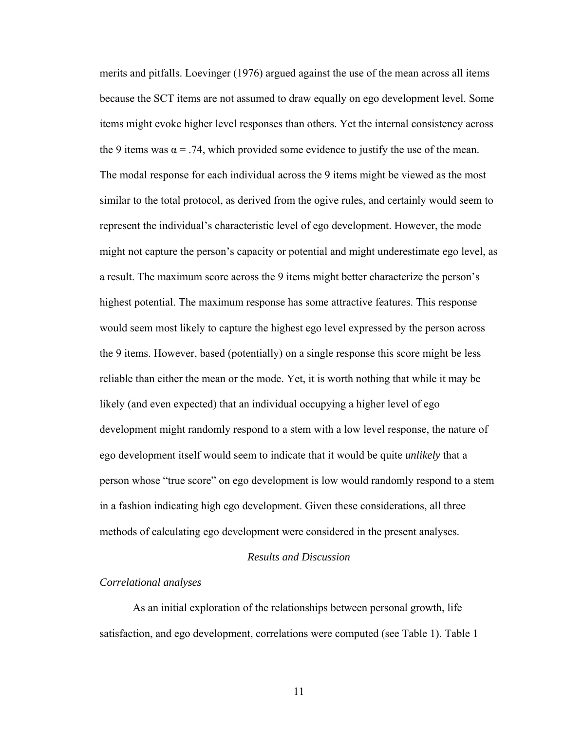merits and pitfalls. Loevinger (1976) argued against the use of the mean across all items because the SCT items are not assumed to draw equally on ego development level. Some items might evoke higher level responses than others. Yet the internal consistency across the 9 items was  $\alpha = 0.74$ , which provided some evidence to justify the use of the mean. The modal response for each individual across the 9 items might be viewed as the most similar to the total protocol, as derived from the ogive rules, and certainly would seem to represent the individual's characteristic level of ego development. However, the mode might not capture the person's capacity or potential and might underestimate ego level, as a result. The maximum score across the 9 items might better characterize the person's highest potential. The maximum response has some attractive features. This response would seem most likely to capture the highest ego level expressed by the person across the 9 items. However, based (potentially) on a single response this score might be less reliable than either the mean or the mode. Yet, it is worth nothing that while it may be likely (and even expected) that an individual occupying a higher level of ego development might randomly respond to a stem with a low level response, the nature of ego development itself would seem to indicate that it would be quite *unlikely* that a person whose "true score" on ego development is low would randomly respond to a stem in a fashion indicating high ego development. Given these considerations, all three methods of calculating ego development were considered in the present analyses.

#### *Results and Discussion*

#### *Correlational analyses*

 As an initial exploration of the relationships between personal growth, life satisfaction, and ego development, correlations were computed (see Table 1). Table 1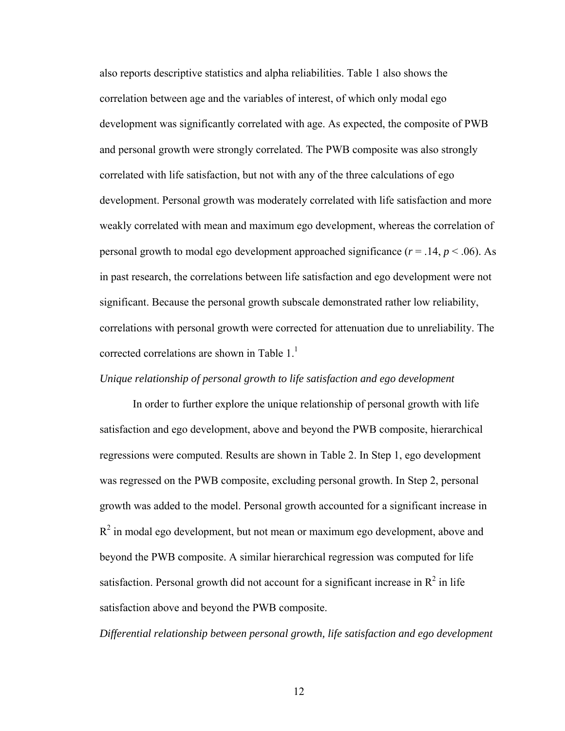also reports descriptive statistics and alpha reliabilities. Table 1 also shows the correlation between age and the variables of interest, of which only modal ego development was significantly correlated with age. As expected, the composite of PWB and personal growth were strongly correlated. The PWB composite was also strongly correlated with life satisfaction, but not with any of the three calculations of ego development. Personal growth was moderately correlated with life satisfaction and more weakly correlated with mean and maximum ego development, whereas the correlation of personal growth to modal ego development approached significance  $(r = .14, p < .06)$ . As in past research, the correlations between life satisfaction and ego development were not significant. Because the personal growth subscale demonstrated rather low reliability, correlations with personal growth were corrected for attenuation due to unreliability. The corrected correlations are shown in Table  $1<sup>1</sup>$ 

## *Unique relationship of personal growth to life satisfaction and ego development*

 In order to further explore the unique relationship of personal growth with life satisfaction and ego development, above and beyond the PWB composite, hierarchical regressions were computed. Results are shown in Table 2. In Step 1, ego development was regressed on the PWB composite, excluding personal growth. In Step 2, personal growth was added to the model. Personal growth accounted for a significant increase in  $R<sup>2</sup>$  in modal ego development, but not mean or maximum ego development, above and beyond the PWB composite. A similar hierarchical regression was computed for life satisfaction. Personal growth did not account for a significant increase in  $R^2$  in life satisfaction above and beyond the PWB composite.

*Differential relationship between personal growth, life satisfaction and ego development*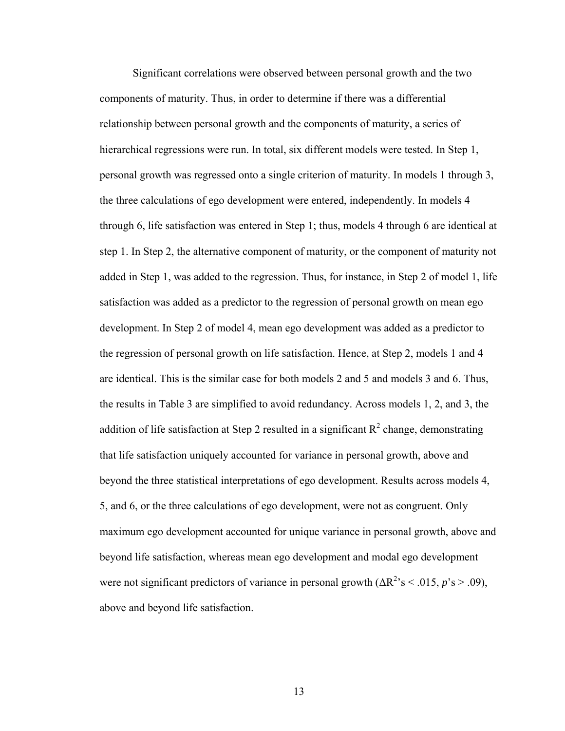Significant correlations were observed between personal growth and the two components of maturity. Thus, in order to determine if there was a differential relationship between personal growth and the components of maturity, a series of hierarchical regressions were run. In total, six different models were tested. In Step 1, personal growth was regressed onto a single criterion of maturity. In models 1 through 3, the three calculations of ego development were entered, independently. In models 4 through 6, life satisfaction was entered in Step 1; thus, models 4 through 6 are identical at step 1. In Step 2, the alternative component of maturity, or the component of maturity not added in Step 1, was added to the regression. Thus, for instance, in Step 2 of model 1, life satisfaction was added as a predictor to the regression of personal growth on mean ego development. In Step 2 of model 4, mean ego development was added as a predictor to the regression of personal growth on life satisfaction. Hence, at Step 2, models 1 and 4 are identical. This is the similar case for both models 2 and 5 and models 3 and 6. Thus, the results in Table 3 are simplified to avoid redundancy. Across models 1, 2, and 3, the addition of life satisfaction at Step 2 resulted in a significant  $R^2$  change, demonstrating that life satisfaction uniquely accounted for variance in personal growth, above and beyond the three statistical interpretations of ego development. Results across models 4, 5, and 6, or the three calculations of ego development, were not as congruent. Only maximum ego development accounted for unique variance in personal growth, above and beyond life satisfaction, whereas mean ego development and modal ego development were not significant predictors of variance in personal growth  $(\Delta R^2 s < .015, p's > .09)$ , above and beyond life satisfaction.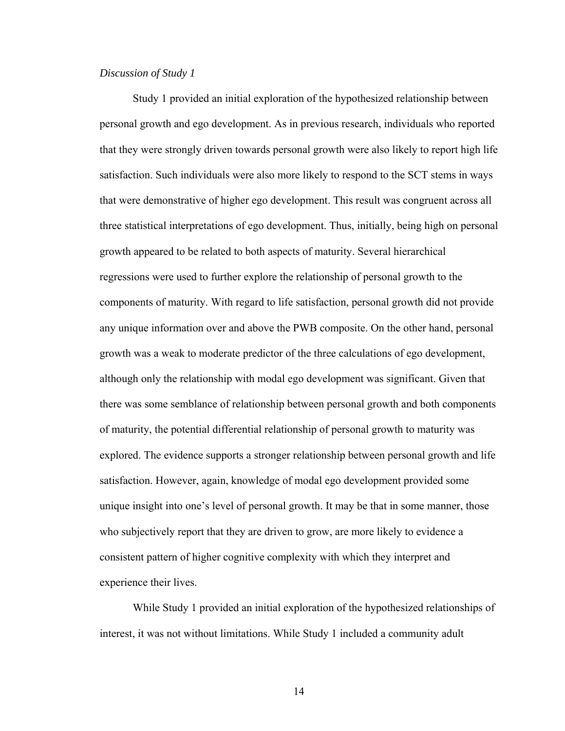#### *Discussion of Study 1*

 Study 1 provided an initial exploration of the hypothesized relationship between personal growth and ego development. As in previous research, individuals who reported that they were strongly driven towards personal growth were also likely to report high life satisfaction. Such individuals were also more likely to respond to the SCT stems in ways that were demonstrative of higher ego development. This result was congruent across all three statistical interpretations of ego development. Thus, initially, being high on personal growth appeared to be related to both aspects of maturity. Several hierarchical regressions were used to further explore the relationship of personal growth to the components of maturity. With regard to life satisfaction, personal growth did not provide any unique information over and above the PWB composite. On the other hand, personal growth was a weak to moderate predictor of the three calculations of ego development, although only the relationship with modal ego development was significant. Given that there was some semblance of relationship between personal growth and both components of maturity, the potential differential relationship of personal growth to maturity was explored. The evidence supports a stronger relationship between personal growth and life satisfaction. However, again, knowledge of modal ego development provided some unique insight into one's level of personal growth. It may be that in some manner, those who subjectively report that they are driven to grow, are more likely to evidence a consistent pattern of higher cognitive complexity with which they interpret and experience their lives.

 While Study 1 provided an initial exploration of the hypothesized relationships of interest, it was not without limitations. While Study 1 included a community adult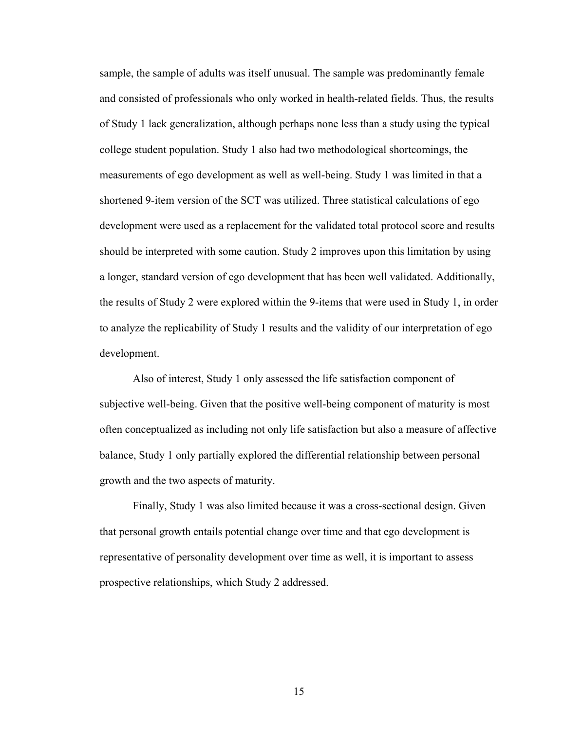sample, the sample of adults was itself unusual. The sample was predominantly female and consisted of professionals who only worked in health-related fields. Thus, the results of Study 1 lack generalization, although perhaps none less than a study using the typical college student population. Study 1 also had two methodological shortcomings, the measurements of ego development as well as well-being. Study 1 was limited in that a shortened 9-item version of the SCT was utilized. Three statistical calculations of ego development were used as a replacement for the validated total protocol score and results should be interpreted with some caution. Study 2 improves upon this limitation by using a longer, standard version of ego development that has been well validated. Additionally, the results of Study 2 were explored within the 9-items that were used in Study 1, in order to analyze the replicability of Study 1 results and the validity of our interpretation of ego development.

 Also of interest, Study 1 only assessed the life satisfaction component of subjective well-being. Given that the positive well-being component of maturity is most often conceptualized as including not only life satisfaction but also a measure of affective balance, Study 1 only partially explored the differential relationship between personal growth and the two aspects of maturity.

 Finally, Study 1 was also limited because it was a cross-sectional design. Given that personal growth entails potential change over time and that ego development is representative of personality development over time as well, it is important to assess prospective relationships, which Study 2 addressed.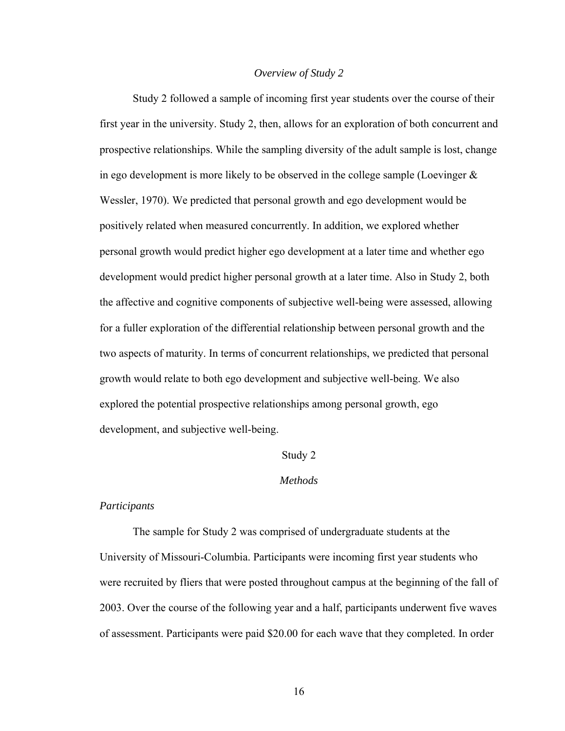### *Overview of Study 2*

 Study 2 followed a sample of incoming first year students over the course of their first year in the university. Study 2, then, allows for an exploration of both concurrent and prospective relationships. While the sampling diversity of the adult sample is lost, change in ego development is more likely to be observed in the college sample (Loevinger  $\&$ Wessler, 1970). We predicted that personal growth and ego development would be positively related when measured concurrently. In addition, we explored whether personal growth would predict higher ego development at a later time and whether ego development would predict higher personal growth at a later time. Also in Study 2, both the affective and cognitive components of subjective well-being were assessed, allowing for a fuller exploration of the differential relationship between personal growth and the two aspects of maturity. In terms of concurrent relationships, we predicted that personal growth would relate to both ego development and subjective well-being. We also explored the potential prospective relationships among personal growth, ego development, and subjective well-being.

#### Study 2

### *Methods*

#### *Participants*

 The sample for Study 2 was comprised of undergraduate students at the University of Missouri-Columbia. Participants were incoming first year students who were recruited by fliers that were posted throughout campus at the beginning of the fall of 2003. Over the course of the following year and a half, participants underwent five waves of assessment. Participants were paid \$20.00 for each wave that they completed. In order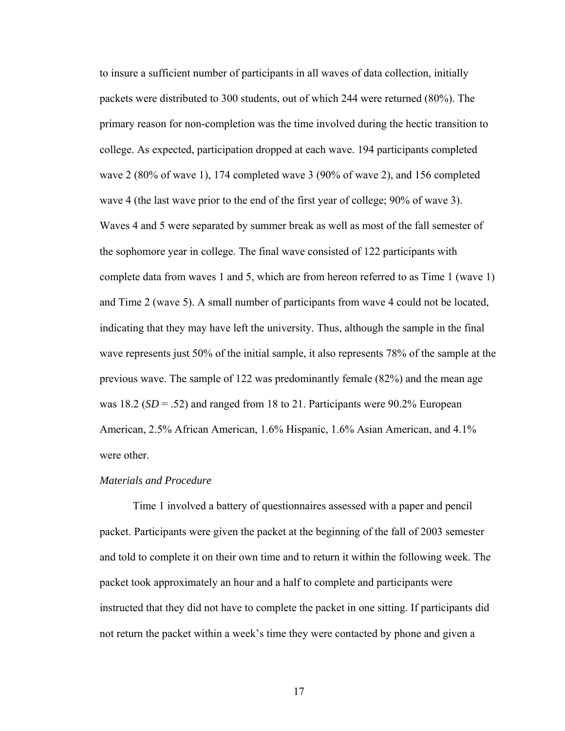to insure a sufficient number of participants in all waves of data collection, initially packets were distributed to 300 students, out of which 244 were returned (80%). The primary reason for non-completion was the time involved during the hectic transition to college. As expected, participation dropped at each wave. 194 participants completed wave 2 (80% of wave 1), 174 completed wave 3 (90% of wave 2), and 156 completed wave 4 (the last wave prior to the end of the first year of college; 90% of wave 3). Waves 4 and 5 were separated by summer break as well as most of the fall semester of the sophomore year in college. The final wave consisted of 122 participants with complete data from waves 1 and 5, which are from hereon referred to as Time 1 (wave 1) and Time 2 (wave 5). A small number of participants from wave 4 could not be located, indicating that they may have left the university. Thus, although the sample in the final wave represents just 50% of the initial sample, it also represents 78% of the sample at the previous wave. The sample of 122 was predominantly female (82%) and the mean age was 18.2 ( $SD = .52$ ) and ranged from 18 to 21. Participants were 90.2% European American, 2.5% African American, 1.6% Hispanic, 1.6% Asian American, and 4.1% were other.

## *Materials and Procedure*

 Time 1 involved a battery of questionnaires assessed with a paper and pencil packet. Participants were given the packet at the beginning of the fall of 2003 semester and told to complete it on their own time and to return it within the following week. The packet took approximately an hour and a half to complete and participants were instructed that they did not have to complete the packet in one sitting. If participants did not return the packet within a week's time they were contacted by phone and given a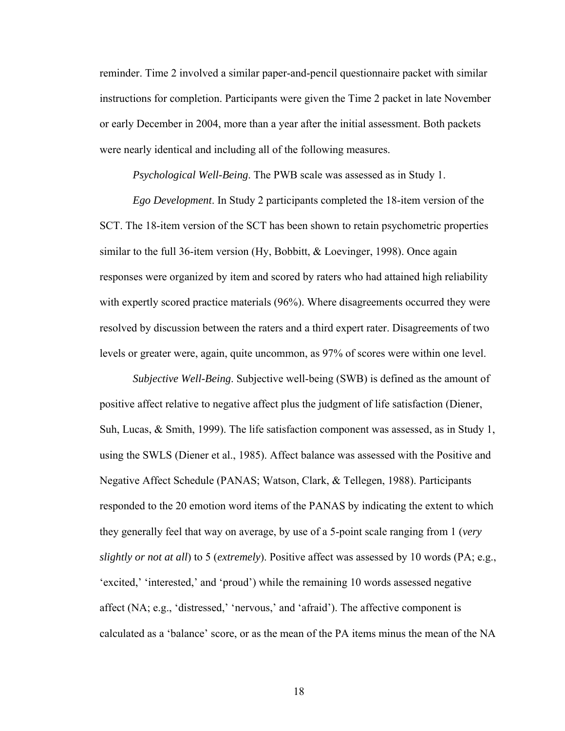reminder. Time 2 involved a similar paper-and-pencil questionnaire packet with similar instructions for completion. Participants were given the Time 2 packet in late November or early December in 2004, more than a year after the initial assessment. Both packets were nearly identical and including all of the following measures.

*Psychological Well-Being*. The PWB scale was assessed as in Study 1.

*Ego Development*. In Study 2 participants completed the 18-item version of the SCT. The 18-item version of the SCT has been shown to retain psychometric properties similar to the full 36-item version (Hy, Bobbitt, & Loevinger, 1998). Once again responses were organized by item and scored by raters who had attained high reliability with expertly scored practice materials (96%). Where disagreements occurred they were resolved by discussion between the raters and a third expert rater. Disagreements of two levels or greater were, again, quite uncommon, as 97% of scores were within one level.

*Subjective Well-Being*. Subjective well-being (SWB) is defined as the amount of positive affect relative to negative affect plus the judgment of life satisfaction (Diener, Suh, Lucas, & Smith, 1999). The life satisfaction component was assessed, as in Study 1, using the SWLS (Diener et al., 1985). Affect balance was assessed with the Positive and Negative Affect Schedule (PANAS; Watson, Clark, & Tellegen, 1988). Participants responded to the 20 emotion word items of the PANAS by indicating the extent to which they generally feel that way on average, by use of a 5-point scale ranging from 1 (*very slightly or not at all*) to 5 (*extremely*). Positive affect was assessed by 10 words (PA; e.g., 'excited,' 'interested,' and 'proud') while the remaining 10 words assessed negative affect (NA; e.g., 'distressed,' 'nervous,' and 'afraid'). The affective component is calculated as a 'balance' score, or as the mean of the PA items minus the mean of the NA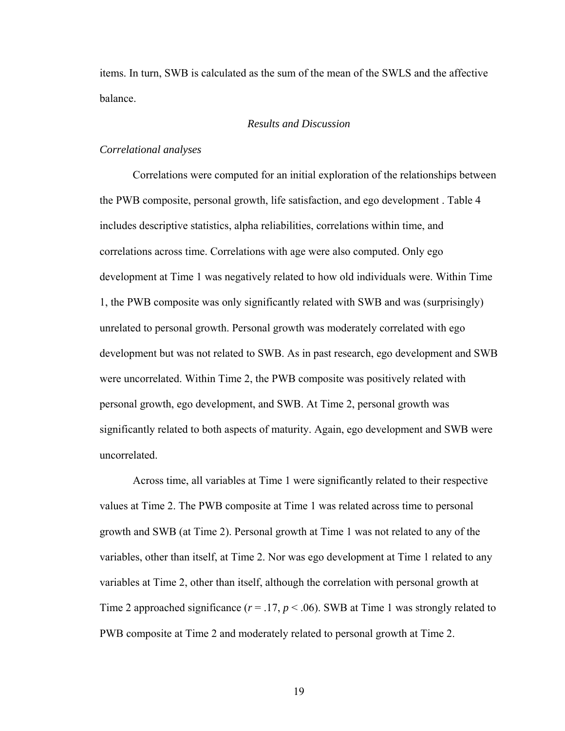items. In turn, SWB is calculated as the sum of the mean of the SWLS and the affective balance.

# *Results and Discussion*

## *Correlational analyses*

 Correlations were computed for an initial exploration of the relationships between the PWB composite, personal growth, life satisfaction, and ego development . Table 4 includes descriptive statistics, alpha reliabilities, correlations within time, and correlations across time. Correlations with age were also computed. Only ego development at Time 1 was negatively related to how old individuals were. Within Time 1, the PWB composite was only significantly related with SWB and was (surprisingly) unrelated to personal growth. Personal growth was moderately correlated with ego development but was not related to SWB. As in past research, ego development and SWB were uncorrelated. Within Time 2, the PWB composite was positively related with personal growth, ego development, and SWB. At Time 2, personal growth was significantly related to both aspects of maturity. Again, ego development and SWB were uncorrelated.

 Across time, all variables at Time 1 were significantly related to their respective values at Time 2. The PWB composite at Time 1 was related across time to personal growth and SWB (at Time 2). Personal growth at Time 1 was not related to any of the variables, other than itself, at Time 2. Nor was ego development at Time 1 related to any variables at Time 2, other than itself, although the correlation with personal growth at Time 2 approached significance  $(r = .17, p < .06)$ . SWB at Time 1 was strongly related to PWB composite at Time 2 and moderately related to personal growth at Time 2.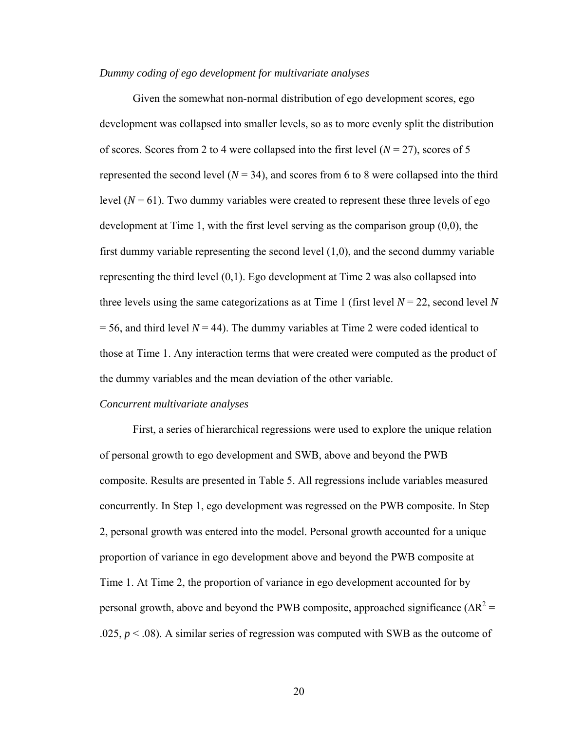### *Dummy coding of ego development for multivariate analyses*

 Given the somewhat non-normal distribution of ego development scores, ego development was collapsed into smaller levels, so as to more evenly split the distribution of scores. Scores from 2 to 4 were collapsed into the first level  $(N = 27)$ , scores of 5 represented the second level  $(N = 34)$ , and scores from 6 to 8 were collapsed into the third level  $(N = 61)$ . Two dummy variables were created to represent these three levels of ego development at Time 1, with the first level serving as the comparison group (0,0), the first dummy variable representing the second level (1,0), and the second dummy variable representing the third level (0,1). Ego development at Time 2 was also collapsed into three levels using the same categorizations as at Time 1 (first level  $N = 22$ , second level N  $= 56$ , and third level  $N = 44$ ). The dummy variables at Time 2 were coded identical to those at Time 1. Any interaction terms that were created were computed as the product of the dummy variables and the mean deviation of the other variable.

#### *Concurrent multivariate analyses*

 First, a series of hierarchical regressions were used to explore the unique relation of personal growth to ego development and SWB, above and beyond the PWB composite. Results are presented in Table 5. All regressions include variables measured concurrently. In Step 1, ego development was regressed on the PWB composite. In Step 2, personal growth was entered into the model. Personal growth accounted for a unique proportion of variance in ego development above and beyond the PWB composite at Time 1. At Time 2, the proportion of variance in ego development accounted for by personal growth, above and beyond the PWB composite, approached significance ( $\Delta R^2$  = .025,  $p < 0.08$ ). A similar series of regression was computed with SWB as the outcome of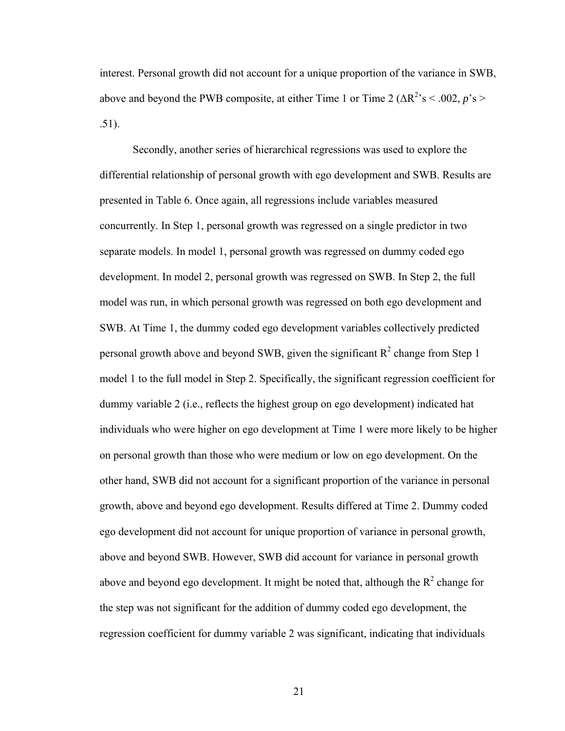interest. Personal growth did not account for a unique proportion of the variance in SWB, above and beyond the PWB composite, at either Time 1 or Time 2 ( $\Delta R^2$ 's < .002, *p*'s > .51).

 Secondly, another series of hierarchical regressions was used to explore the differential relationship of personal growth with ego development and SWB. Results are presented in Table 6. Once again, all regressions include variables measured concurrently. In Step 1, personal growth was regressed on a single predictor in two separate models. In model 1, personal growth was regressed on dummy coded ego development. In model 2, personal growth was regressed on SWB. In Step 2, the full model was run, in which personal growth was regressed on both ego development and SWB. At Time 1, the dummy coded ego development variables collectively predicted personal growth above and beyond SWB, given the significant  $R^2$  change from Step 1 model 1 to the full model in Step 2. Specifically, the significant regression coefficient for dummy variable 2 (i.e., reflects the highest group on ego development) indicated hat individuals who were higher on ego development at Time 1 were more likely to be higher on personal growth than those who were medium or low on ego development. On the other hand, SWB did not account for a significant proportion of the variance in personal growth, above and beyond ego development. Results differed at Time 2. Dummy coded ego development did not account for unique proportion of variance in personal growth, above and beyond SWB. However, SWB did account for variance in personal growth above and beyond ego development. It might be noted that, although the  $R^2$  change for the step was not significant for the addition of dummy coded ego development, the regression coefficient for dummy variable 2 was significant, indicating that individuals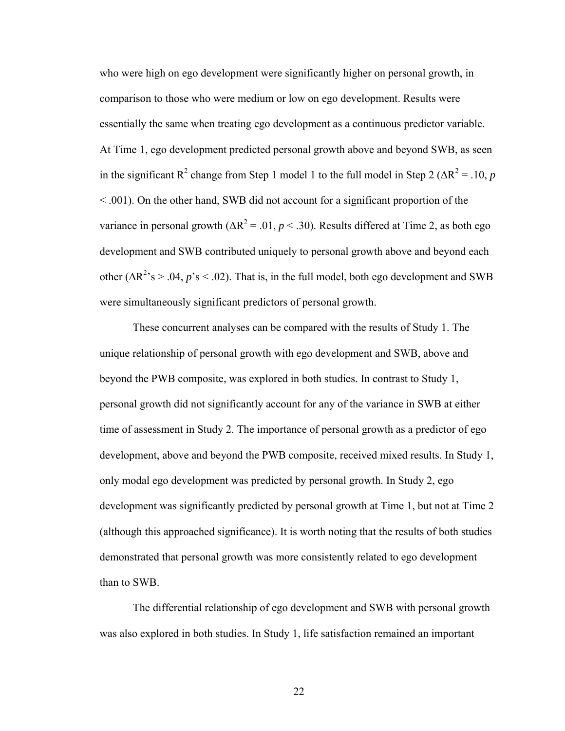who were high on ego development were significantly higher on personal growth, in comparison to those who were medium or low on ego development. Results were essentially the same when treating ego development as a continuous predictor variable. At Time 1, ego development predicted personal growth above and beyond SWB, as seen in the significant  $R^2$  change from Step 1 model 1 to the full model in Step 2 ( $\Delta R^2$  = .10, *p* < .001). On the other hand, SWB did not account for a significant proportion of the variance in personal growth  $(\Delta R^2 = .01, p < .30)$ . Results differed at Time 2, as both ego development and SWB contributed uniquely to personal growth above and beyond each other  $(\Delta R^2)$ 's > .04, *p*'s < .02). That is, in the full model, both ego development and SWB were simultaneously significant predictors of personal growth.

 These concurrent analyses can be compared with the results of Study 1. The unique relationship of personal growth with ego development and SWB, above and beyond the PWB composite, was explored in both studies. In contrast to Study 1, personal growth did not significantly account for any of the variance in SWB at either time of assessment in Study 2. The importance of personal growth as a predictor of ego development, above and beyond the PWB composite, received mixed results. In Study 1, only modal ego development was predicted by personal growth. In Study 2, ego development was significantly predicted by personal growth at Time 1, but not at Time 2 (although this approached significance). It is worth noting that the results of both studies demonstrated that personal growth was more consistently related to ego development than to SWB.

 The differential relationship of ego development and SWB with personal growth was also explored in both studies. In Study 1, life satisfaction remained an important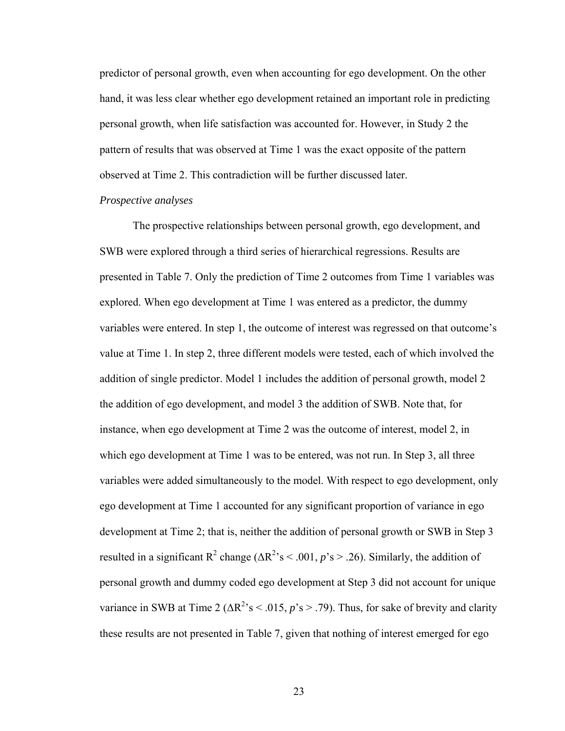predictor of personal growth, even when accounting for ego development. On the other hand, it was less clear whether ego development retained an important role in predicting personal growth, when life satisfaction was accounted for. However, in Study 2 the pattern of results that was observed at Time 1 was the exact opposite of the pattern observed at Time 2. This contradiction will be further discussed later.

### *Prospective analyses*

 The prospective relationships between personal growth, ego development, and SWB were explored through a third series of hierarchical regressions. Results are presented in Table 7. Only the prediction of Time 2 outcomes from Time 1 variables was explored. When ego development at Time 1 was entered as a predictor, the dummy variables were entered. In step 1, the outcome of interest was regressed on that outcome's value at Time 1. In step 2, three different models were tested, each of which involved the addition of single predictor. Model 1 includes the addition of personal growth, model 2 the addition of ego development, and model 3 the addition of SWB. Note that, for instance, when ego development at Time 2 was the outcome of interest, model 2, in which ego development at Time 1 was to be entered, was not run. In Step 3, all three variables were added simultaneously to the model. With respect to ego development, only ego development at Time 1 accounted for any significant proportion of variance in ego development at Time 2; that is, neither the addition of personal growth or SWB in Step 3 resulted in a significant  $R^2$  change ( $\Delta R^2$ 's < .001, p's > .26). Similarly, the addition of personal growth and dummy coded ego development at Step 3 did not account for unique variance in SWB at Time 2 ( $\Delta R^2$ 's < .015, *p*'s > .79). Thus, for sake of brevity and clarity these results are not presented in Table 7, given that nothing of interest emerged for ego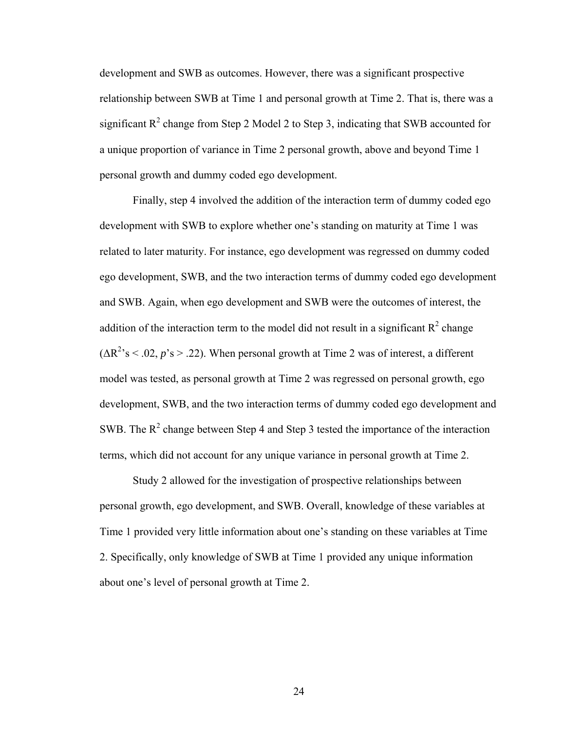development and SWB as outcomes. However, there was a significant prospective relationship between SWB at Time 1 and personal growth at Time 2. That is, there was a significant  $R^2$  change from Step 2 Model 2 to Step 3, indicating that SWB accounted for a unique proportion of variance in Time 2 personal growth, above and beyond Time 1 personal growth and dummy coded ego development.

 Finally, step 4 involved the addition of the interaction term of dummy coded ego development with SWB to explore whether one's standing on maturity at Time 1 was related to later maturity. For instance, ego development was regressed on dummy coded ego development, SWB, and the two interaction terms of dummy coded ego development and SWB. Again, when ego development and SWB were the outcomes of interest, the addition of the interaction term to the model did not result in a significant  $R^2$  change  $(\Delta R^2)$ 's < .02, *p*'s > .22). When personal growth at Time 2 was of interest, a different model was tested, as personal growth at Time 2 was regressed on personal growth, ego development, SWB, and the two interaction terms of dummy coded ego development and SWB. The  $R^2$  change between Step 4 and Step 3 tested the importance of the interaction terms, which did not account for any unique variance in personal growth at Time 2.

 Study 2 allowed for the investigation of prospective relationships between personal growth, ego development, and SWB. Overall, knowledge of these variables at Time 1 provided very little information about one's standing on these variables at Time 2. Specifically, only knowledge of SWB at Time 1 provided any unique information about one's level of personal growth at Time 2.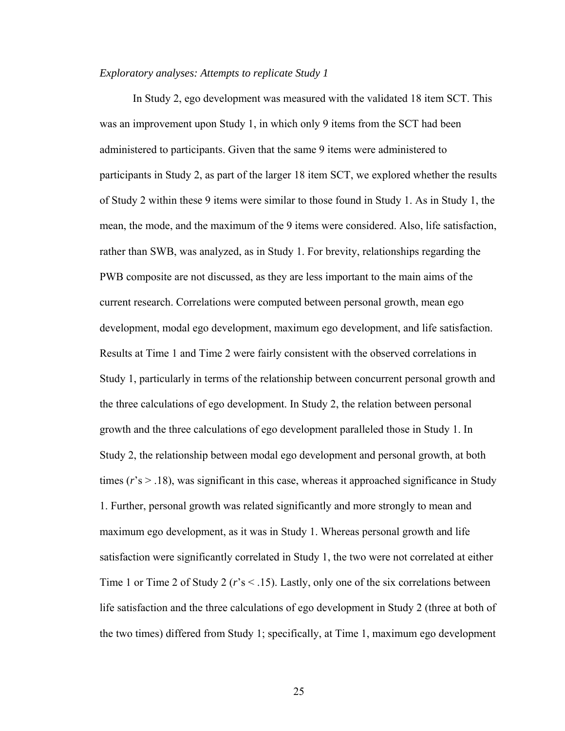## *Exploratory analyses: Attempts to replicate Study 1*

 In Study 2, ego development was measured with the validated 18 item SCT. This was an improvement upon Study 1, in which only 9 items from the SCT had been administered to participants. Given that the same 9 items were administered to participants in Study 2, as part of the larger 18 item SCT, we explored whether the results of Study 2 within these 9 items were similar to those found in Study 1. As in Study 1, the mean, the mode, and the maximum of the 9 items were considered. Also, life satisfaction, rather than SWB, was analyzed, as in Study 1. For brevity, relationships regarding the PWB composite are not discussed, as they are less important to the main aims of the current research. Correlations were computed between personal growth, mean ego development, modal ego development, maximum ego development, and life satisfaction. Results at Time 1 and Time 2 were fairly consistent with the observed correlations in Study 1, particularly in terms of the relationship between concurrent personal growth and the three calculations of ego development. In Study 2, the relation between personal growth and the three calculations of ego development paralleled those in Study 1. In Study 2, the relationship between modal ego development and personal growth, at both times  $(r's > .18)$ , was significant in this case, whereas it approached significance in Study 1. Further, personal growth was related significantly and more strongly to mean and maximum ego development, as it was in Study 1. Whereas personal growth and life satisfaction were significantly correlated in Study 1, the two were not correlated at either Time 1 or Time 2 of Study 2 (*r*'s < .15). Lastly, only one of the six correlations between life satisfaction and the three calculations of ego development in Study 2 (three at both of the two times) differed from Study 1; specifically, at Time 1, maximum ego development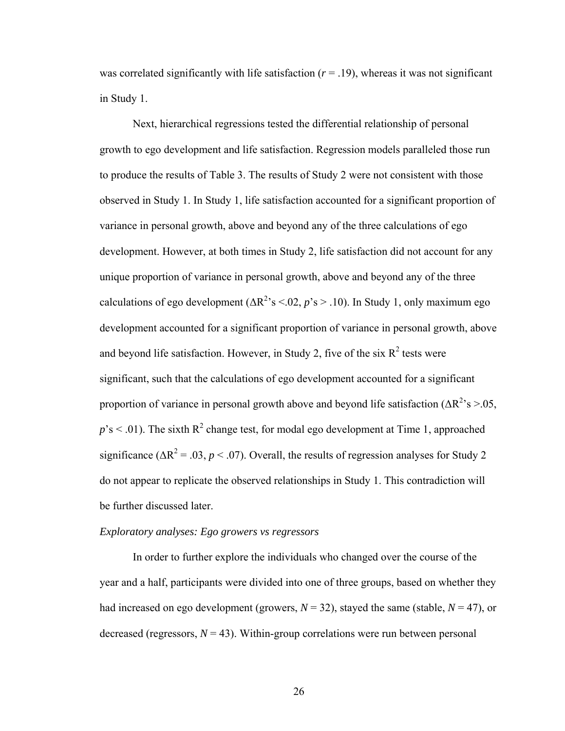was correlated significantly with life satisfaction  $(r = .19)$ , whereas it was not significant in Study 1.

 Next, hierarchical regressions tested the differential relationship of personal growth to ego development and life satisfaction. Regression models paralleled those run to produce the results of Table 3. The results of Study 2 were not consistent with those observed in Study 1. In Study 1, life satisfaction accounted for a significant proportion of variance in personal growth, above and beyond any of the three calculations of ego development. However, at both times in Study 2, life satisfaction did not account for any unique proportion of variance in personal growth, above and beyond any of the three calculations of ego development  $(\Delta R^2)$ 's <.02, *p*'s > .10). In Study 1, only maximum ego development accounted for a significant proportion of variance in personal growth, above and beyond life satisfaction. However, in Study 2, five of the six  $R^2$  tests were significant, such that the calculations of ego development accounted for a significant proportion of variance in personal growth above and beyond life satisfaction  $(\Delta R^2)$ 's  $> 0.05$ ,  $p$ 's < .01). The sixth  $R^2$  change test, for modal ego development at Time 1, approached significance ( $\Delta R^2$  = .03, *p* < .07). Overall, the results of regression analyses for Study 2 do not appear to replicate the observed relationships in Study 1. This contradiction will be further discussed later.

## *Exploratory analyses: Ego growers vs regressors*

 In order to further explore the individuals who changed over the course of the year and a half, participants were divided into one of three groups, based on whether they had increased on ego development (growers,  $N = 32$ ), stayed the same (stable,  $N = 47$ ), or decreased (regressors,  $N = 43$ ). Within-group correlations were run between personal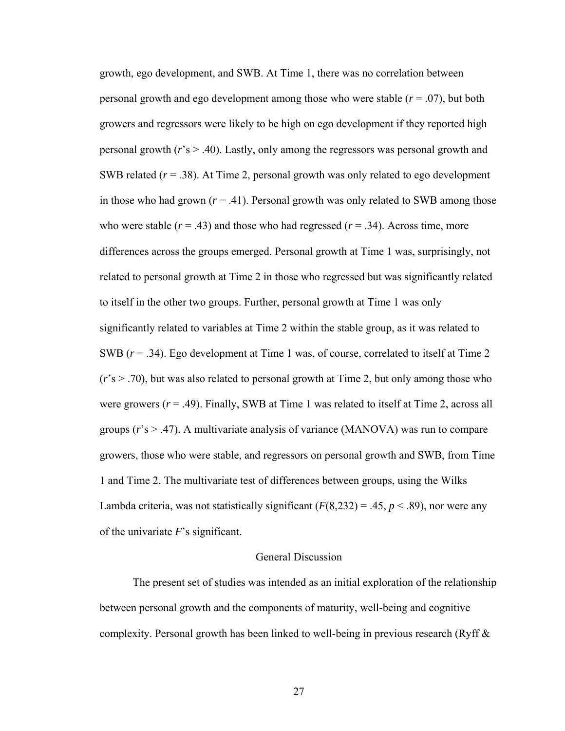growth, ego development, and SWB. At Time 1, there was no correlation between personal growth and ego development among those who were stable (*r* = .07), but both growers and regressors were likely to be high on ego development if they reported high personal growth (*r*'s > .40). Lastly, only among the regressors was personal growth and SWB related (*r* = .38). At Time 2, personal growth was only related to ego development in those who had grown  $(r = .41)$ . Personal growth was only related to SWB among those who were stable  $(r = .43)$  and those who had regressed  $(r = .34)$ . Across time, more differences across the groups emerged. Personal growth at Time 1 was, surprisingly, not related to personal growth at Time 2 in those who regressed but was significantly related to itself in the other two groups. Further, personal growth at Time 1 was only significantly related to variables at Time 2 within the stable group, as it was related to SWB (*r* = .34). Ego development at Time 1 was, of course, correlated to itself at Time 2 (*r*'s > .70), but was also related to personal growth at Time 2, but only among those who were growers  $(r = .49)$ . Finally, SWB at Time 1 was related to itself at Time 2, across all groups (*r*'s > .47). A multivariate analysis of variance (MANOVA) was run to compare growers, those who were stable, and regressors on personal growth and SWB, from Time 1 and Time 2. The multivariate test of differences between groups, using the Wilks Lambda criteria, was not statistically significant  $(F(8,232) = .45, p < .89)$ , nor were any of the univariate *F*'s significant.

## General Discussion

 The present set of studies was intended as an initial exploration of the relationship between personal growth and the components of maturity, well-being and cognitive complexity. Personal growth has been linked to well-being in previous research (Ryff  $\&$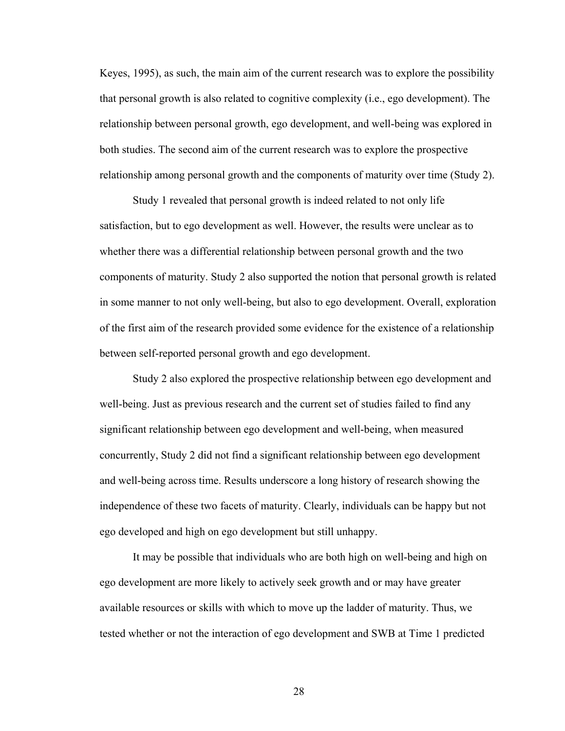Keyes, 1995), as such, the main aim of the current research was to explore the possibility that personal growth is also related to cognitive complexity (i.e., ego development). The relationship between personal growth, ego development, and well-being was explored in both studies. The second aim of the current research was to explore the prospective relationship among personal growth and the components of maturity over time (Study 2).

 Study 1 revealed that personal growth is indeed related to not only life satisfaction, but to ego development as well. However, the results were unclear as to whether there was a differential relationship between personal growth and the two components of maturity. Study 2 also supported the notion that personal growth is related in some manner to not only well-being, but also to ego development. Overall, exploration of the first aim of the research provided some evidence for the existence of a relationship between self-reported personal growth and ego development.

 Study 2 also explored the prospective relationship between ego development and well-being. Just as previous research and the current set of studies failed to find any significant relationship between ego development and well-being, when measured concurrently, Study 2 did not find a significant relationship between ego development and well-being across time. Results underscore a long history of research showing the independence of these two facets of maturity. Clearly, individuals can be happy but not ego developed and high on ego development but still unhappy.

 It may be possible that individuals who are both high on well-being and high on ego development are more likely to actively seek growth and or may have greater available resources or skills with which to move up the ladder of maturity. Thus, we tested whether or not the interaction of ego development and SWB at Time 1 predicted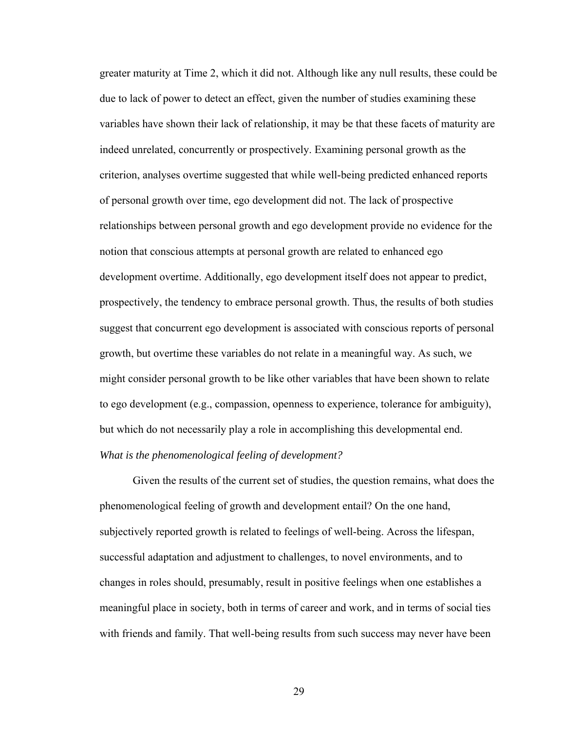greater maturity at Time 2, which it did not. Although like any null results, these could be due to lack of power to detect an effect, given the number of studies examining these variables have shown their lack of relationship, it may be that these facets of maturity are indeed unrelated, concurrently or prospectively. Examining personal growth as the criterion, analyses overtime suggested that while well-being predicted enhanced reports of personal growth over time, ego development did not. The lack of prospective relationships between personal growth and ego development provide no evidence for the notion that conscious attempts at personal growth are related to enhanced ego development overtime. Additionally, ego development itself does not appear to predict, prospectively, the tendency to embrace personal growth. Thus, the results of both studies suggest that concurrent ego development is associated with conscious reports of personal growth, but overtime these variables do not relate in a meaningful way. As such, we might consider personal growth to be like other variables that have been shown to relate to ego development (e.g., compassion, openness to experience, tolerance for ambiguity), but which do not necessarily play a role in accomplishing this developmental end. *What is the phenomenological feeling of development?* 

 Given the results of the current set of studies, the question remains, what does the phenomenological feeling of growth and development entail? On the one hand, subjectively reported growth is related to feelings of well-being. Across the lifespan, successful adaptation and adjustment to challenges, to novel environments, and to changes in roles should, presumably, result in positive feelings when one establishes a meaningful place in society, both in terms of career and work, and in terms of social ties with friends and family. That well-being results from such success may never have been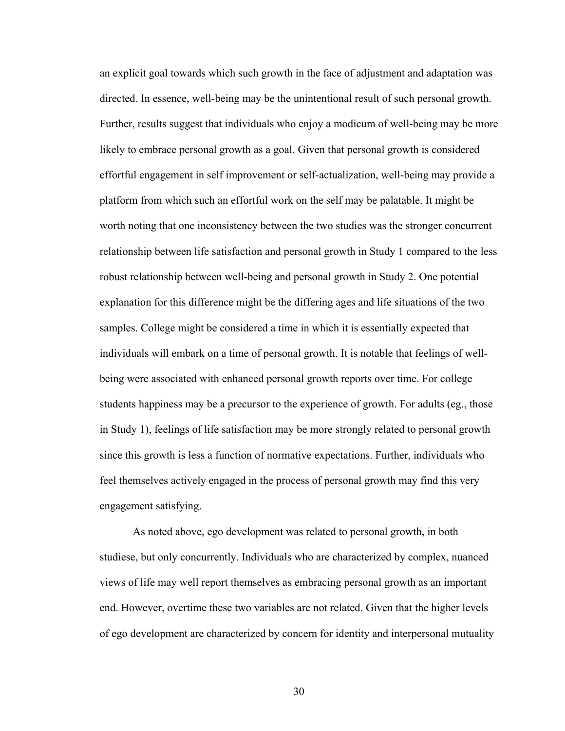an explicit goal towards which such growth in the face of adjustment and adaptation was directed. In essence, well-being may be the unintentional result of such personal growth. Further, results suggest that individuals who enjoy a modicum of well-being may be more likely to embrace personal growth as a goal. Given that personal growth is considered effortful engagement in self improvement or self-actualization, well-being may provide a platform from which such an effortful work on the self may be palatable. It might be worth noting that one inconsistency between the two studies was the stronger concurrent relationship between life satisfaction and personal growth in Study 1 compared to the less robust relationship between well-being and personal growth in Study 2. One potential explanation for this difference might be the differing ages and life situations of the two samples. College might be considered a time in which it is essentially expected that individuals will embark on a time of personal growth. It is notable that feelings of wellbeing were associated with enhanced personal growth reports over time. For college students happiness may be a precursor to the experience of growth. For adults (eg., those in Study 1), feelings of life satisfaction may be more strongly related to personal growth since this growth is less a function of normative expectations. Further, individuals who feel themselves actively engaged in the process of personal growth may find this very engagement satisfying.

 As noted above, ego development was related to personal growth, in both studiese, but only concurrently. Individuals who are characterized by complex, nuanced views of life may well report themselves as embracing personal growth as an important end. However, overtime these two variables are not related. Given that the higher levels of ego development are characterized by concern for identity and interpersonal mutuality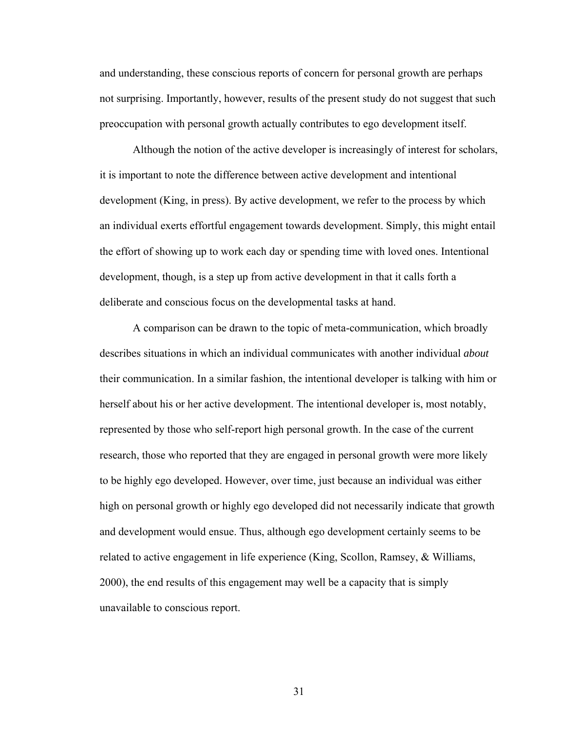and understanding, these conscious reports of concern for personal growth are perhaps not surprising. Importantly, however, results of the present study do not suggest that such preoccupation with personal growth actually contributes to ego development itself.

 Although the notion of the active developer is increasingly of interest for scholars, it is important to note the difference between active development and intentional development (King, in press). By active development, we refer to the process by which an individual exerts effortful engagement towards development. Simply, this might entail the effort of showing up to work each day or spending time with loved ones. Intentional development, though, is a step up from active development in that it calls forth a deliberate and conscious focus on the developmental tasks at hand.

 A comparison can be drawn to the topic of meta-communication, which broadly describes situations in which an individual communicates with another individual *about*  their communication. In a similar fashion, the intentional developer is talking with him or herself about his or her active development. The intentional developer is, most notably, represented by those who self-report high personal growth. In the case of the current research, those who reported that they are engaged in personal growth were more likely to be highly ego developed. However, over time, just because an individual was either high on personal growth or highly ego developed did not necessarily indicate that growth and development would ensue. Thus, although ego development certainly seems to be related to active engagement in life experience (King, Scollon, Ramsey, & Williams, 2000), the end results of this engagement may well be a capacity that is simply unavailable to conscious report.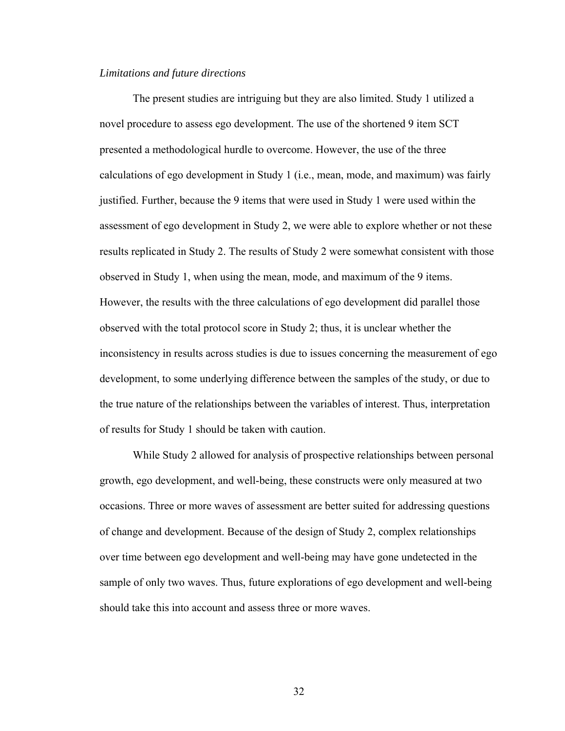#### *Limitations and future directions*

 The present studies are intriguing but they are also limited. Study 1 utilized a novel procedure to assess ego development. The use of the shortened 9 item SCT presented a methodological hurdle to overcome. However, the use of the three calculations of ego development in Study 1 (i.e., mean, mode, and maximum) was fairly justified. Further, because the 9 items that were used in Study 1 were used within the assessment of ego development in Study 2, we were able to explore whether or not these results replicated in Study 2. The results of Study 2 were somewhat consistent with those observed in Study 1, when using the mean, mode, and maximum of the 9 items. However, the results with the three calculations of ego development did parallel those observed with the total protocol score in Study 2; thus, it is unclear whether the inconsistency in results across studies is due to issues concerning the measurement of ego development, to some underlying difference between the samples of the study, or due to the true nature of the relationships between the variables of interest. Thus, interpretation of results for Study 1 should be taken with caution.

 While Study 2 allowed for analysis of prospective relationships between personal growth, ego development, and well-being, these constructs were only measured at two occasions. Three or more waves of assessment are better suited for addressing questions of change and development. Because of the design of Study 2, complex relationships over time between ego development and well-being may have gone undetected in the sample of only two waves. Thus, future explorations of ego development and well-being should take this into account and assess three or more waves.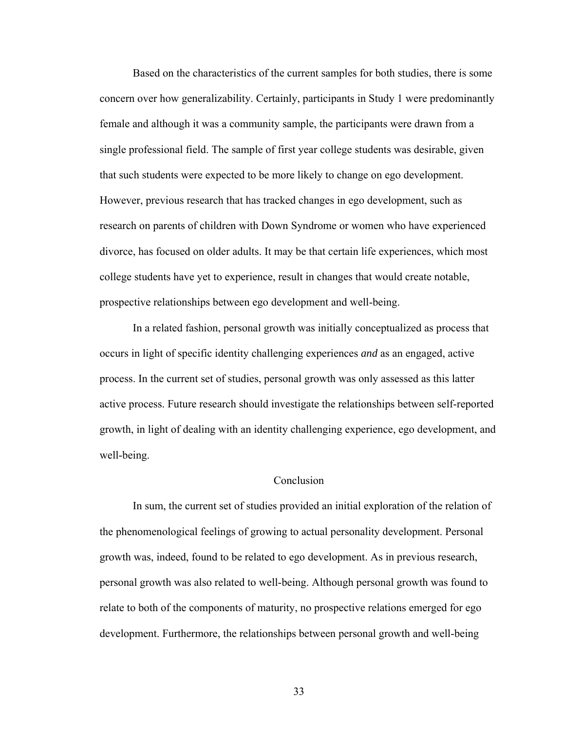Based on the characteristics of the current samples for both studies, there is some concern over how generalizability. Certainly, participants in Study 1 were predominantly female and although it was a community sample, the participants were drawn from a single professional field. The sample of first year college students was desirable, given that such students were expected to be more likely to change on ego development. However, previous research that has tracked changes in ego development, such as research on parents of children with Down Syndrome or women who have experienced divorce, has focused on older adults. It may be that certain life experiences, which most college students have yet to experience, result in changes that would create notable, prospective relationships between ego development and well-being.

 In a related fashion, personal growth was initially conceptualized as process that occurs in light of specific identity challenging experiences *and* as an engaged, active process. In the current set of studies, personal growth was only assessed as this latter active process. Future research should investigate the relationships between self-reported growth, in light of dealing with an identity challenging experience, ego development, and well-being.

### Conclusion

 In sum, the current set of studies provided an initial exploration of the relation of the phenomenological feelings of growing to actual personality development. Personal growth was, indeed, found to be related to ego development. As in previous research, personal growth was also related to well-being. Although personal growth was found to relate to both of the components of maturity, no prospective relations emerged for ego development. Furthermore, the relationships between personal growth and well-being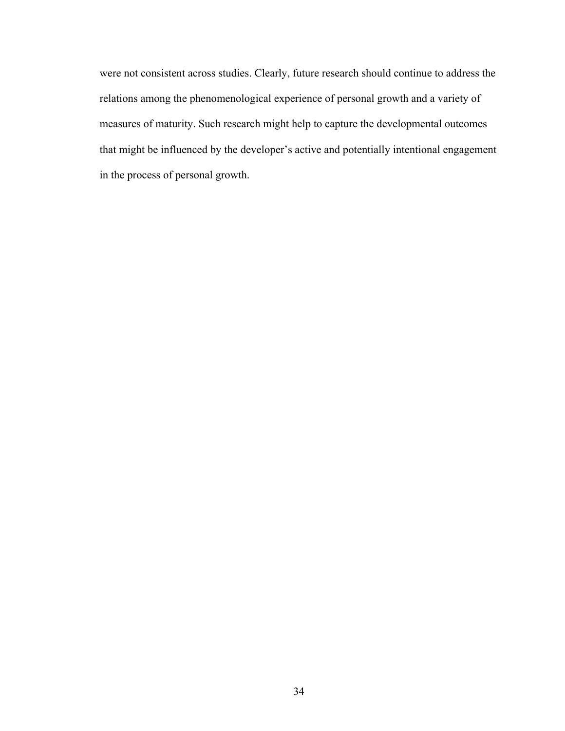were not consistent across studies. Clearly, future research should continue to address the relations among the phenomenological experience of personal growth and a variety of measures of maturity. Such research might help to capture the developmental outcomes that might be influenced by the developer's active and potentially intentional engagement in the process of personal growth.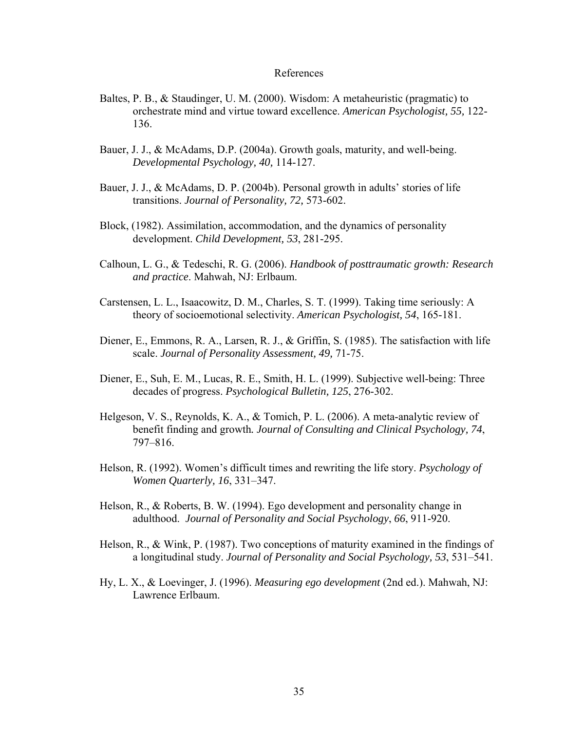### References

- Baltes, P. B., & Staudinger, U. M. (2000). Wisdom: A metaheuristic (pragmatic) to orchestrate mind and virtue toward excellence. *American Psychologist, 55,* 122- 136.
- Bauer, J. J., & McAdams, D.P. (2004a). Growth goals, maturity, and well-being. *Developmental Psychology, 40,* 114-127.
- Bauer, J. J., & McAdams, D. P. (2004b). Personal growth in adults' stories of life transitions. *Journal of Personality, 72,* 573-602.
- Block, (1982). Assimilation, accommodation, and the dynamics of personality development. *Child Development, 53*, 281-295.
- Calhoun, L. G., & Tedeschi, R. G. (2006). *Handbook of posttraumatic growth: Research and practice*. Mahwah, NJ: Erlbaum.
- Carstensen, L. L., Isaacowitz, D. M., Charles, S. T. (1999). Taking time seriously: A theory of socioemotional selectivity. *American Psychologist, 54*, 165-181.
- Diener, E., Emmons, R. A., Larsen, R. J., & Griffin, S. (1985). The satisfaction with life scale. *Journal of Personality Assessment, 49,* 71-75.
- Diener, E., Suh, E. M., Lucas, R. E., Smith, H. L. (1999). Subjective well-being: Three decades of progress. *Psychological Bulletin, 125*, 276-302.
- Helgeson, V. S., Reynolds, K. A., & Tomich, P. L. (2006). A meta-analytic review of benefit finding and growth*. Journal of Consulting and Clinical Psychology, 74*, 797–816.
- Helson, R. (1992). Women's difficult times and rewriting the life story. *Psychology of Women Quarterly, 16*, 331–347.
- Helson, R., & Roberts, B. W. (1994). Ego development and personality change in adulthood. *Journal of Personality and Social Psychology*, *66*, 911-920.
- Helson, R., & Wink, P. (1987). Two conceptions of maturity examined in the findings of a longitudinal study. *Journal of Personality and Social Psychology, 53*, 531–541.
- Hy, L. X., & Loevinger, J. (1996). *Measuring ego development* (2nd ed.). Mahwah, NJ: Lawrence Erlbaum.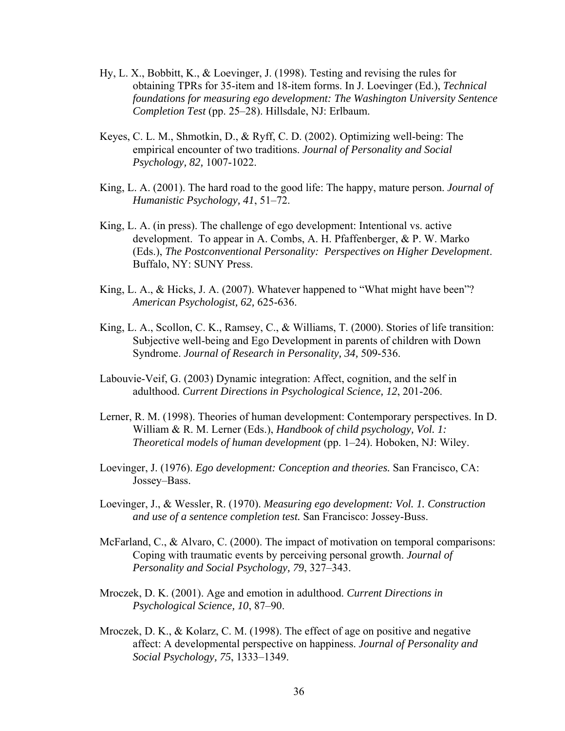- Hy, L. X., Bobbitt, K., & Loevinger, J. (1998). Testing and revising the rules for obtaining TPRs for 35-item and 18-item forms. In J. Loevinger (Ed.), *Technical foundations for measuring ego development: The Washington University Sentence Completion Test* (pp. 25–28). Hillsdale, NJ: Erlbaum.
- Keyes, C. L. M., Shmotkin, D., & Ryff, C. D. (2002). Optimizing well-being: The empirical encounter of two traditions. *Journal of Personality and Social Psychology, 82,* 1007-1022.
- King, L. A. (2001). The hard road to the good life: The happy, mature person. *Journal of Humanistic Psychology, 41*, 51–72.
- King, L. A. (in press). The challenge of ego development: Intentional vs. active development. To appear in A. Combs, A. H. Pfaffenberger, & P. W. Marko (Eds.), *The Postconventional Personality: Perspectives on Higher Development*. Buffalo, NY: SUNY Press.
- King, L. A., & Hicks, J. A. (2007). Whatever happened to "What might have been"? *American Psychologist, 62,* 625-636.
- King, L. A., Scollon, C. K., Ramsey, C., & Williams, T. (2000). Stories of life transition: Subjective well-being and Ego Development in parents of children with Down Syndrome. *Journal of Research in Personality, 34,* 509-536.
- Labouvie-Veif, G. (2003) Dynamic integration: Affect, cognition, and the self in adulthood. *Current Directions in Psychological Science, 12*, 201-206.
- Lerner, R. M. (1998). Theories of human development: Contemporary perspectives. In D. William & R. M. Lerner (Eds.), *Handbook of child psychology, Vol. 1: Theoretical models of human development* (pp. 1–24). Hoboken, NJ: Wiley.
- Loevinger, J. (1976). *Ego development: Conception and theories.* San Francisco, CA: Jossey–Bass.
- Loevinger, J., & Wessler, R. (1970). *Measuring ego development: Vol. 1. Construction and use of a sentence completion test.* San Francisco: Jossey-Buss.
- McFarland, C., & Alvaro, C. (2000). The impact of motivation on temporal comparisons: Coping with traumatic events by perceiving personal growth. *Journal of Personality and Social Psychology, 79*, 327–343.
- Mroczek, D. K. (2001). Age and emotion in adulthood. *Current Directions in Psychological Science, 10*, 87–90.
- Mroczek, D. K., & Kolarz, C. M. (1998). The effect of age on positive and negative affect: A developmental perspective on happiness. *Journal of Personality and Social Psychology, 75*, 1333–1349.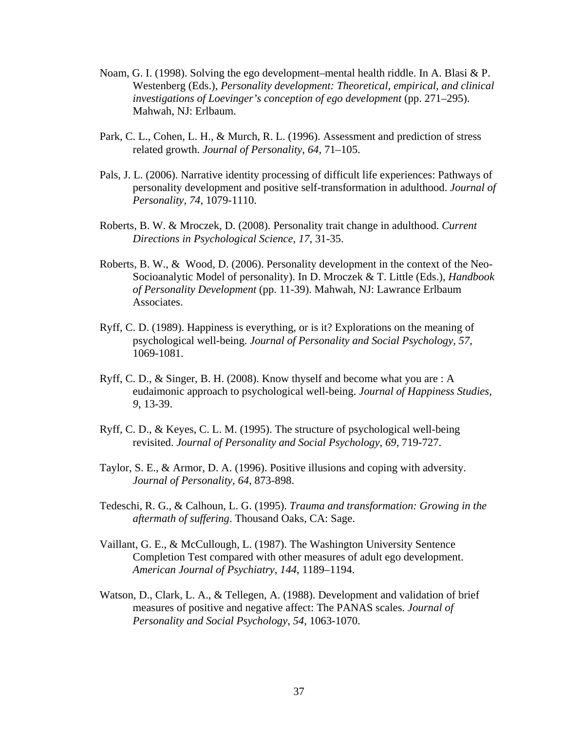- Noam, G. I. (1998). Solving the ego development–mental health riddle. In A. Blasi & P. Westenberg (Eds.), *Personality development: Theoretical, empirical, and clinical investigations of Loevinger's conception of ego development* (pp. 271–295). Mahwah, NJ: Erlbaum.
- Park, C. L., Cohen, L. H., & Murch, R. L. (1996). Assessment and prediction of stress related growth. *Journal of Personality, 64*, 71–105.
- Pals, J. L. (2006). Narrative identity processing of difficult life experiences: Pathways of personality development and positive self-transformation in adulthood. *Journal of Personality, 74*, 1079-1110.
- Roberts, B. W. & Mroczek, D. (2008). Personality trait change in adulthood. *Current Directions in Psychological Science, 17*, 31-35.
- Roberts, B. W., & Wood, D. (2006). Personality development in the context of the Neo-Socioanalytic Model of personality). In D. Mroczek & T. Little (Eds.), *Handbook of Personality Development* (pp. 11-39). Mahwah, NJ: Lawrance Erlbaum Associates.
- Ryff, C. D. (1989). Happiness is everything, or is it? Explorations on the meaning of psychological well-being. *Journal of Personality and Social Psychology, 57,* 1069-1081.
- Ryff, C. D., & Singer, B. H. (2008). Know thyself and become what you are : A eudaimonic approach to psychological well-being. *Journal of Happiness Studies, 9*, 13-39.
- Ryff, C. D., & Keyes, C. L. M. (1995). The structure of psychological well-being revisited. *Journal of Personality and Social Psychology, 69,* 719-727.
- Taylor, S. E., & Armor, D. A. (1996). Positive illusions and coping with adversity. *Journal of Personality, 64*, 873-898.
- Tedeschi, R. G., & Calhoun, L. G. (1995). *Trauma and transformation: Growing in the aftermath of suffering*. Thousand Oaks, CA: Sage.
- Vaillant, G. E., & McCullough, L. (1987). The Washington University Sentence Completion Test compared with other measures of adult ego development. *American Journal of Psychiatry, 144*, 1189–1194.
- Watson, D., Clark, L. A., & Tellegen, A. (1988). Development and validation of brief measures of positive and negative affect: The PANAS scales. *Journal of Personality and Social Psychology*, *54*, 1063-1070.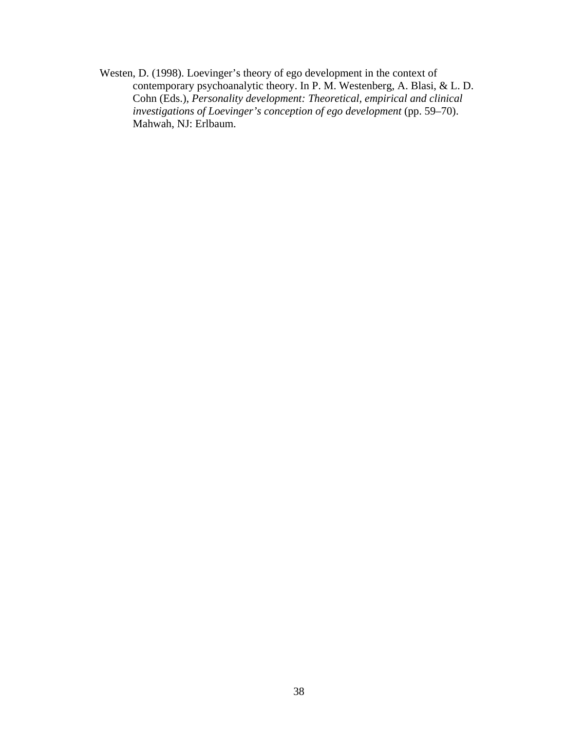Westen, D. (1998). Loevinger's theory of ego development in the context of contemporary psychoanalytic theory. In P. M. Westenberg, A. Blasi, & L. D. Cohn (Eds.), *Personality development: Theoretical, empirical and clinical investigations of Loevinger's conception of ego development* (pp. 59–70). Mahwah, NJ: Erlbaum.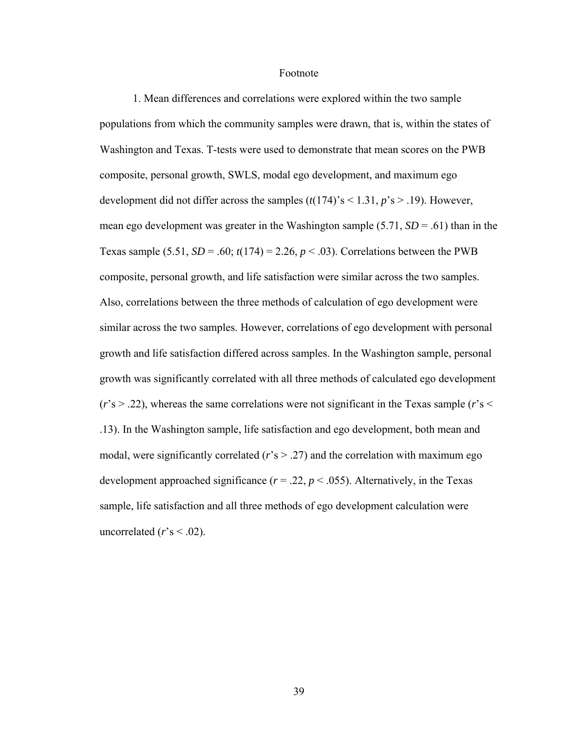#### Footnote

 1. Mean differences and correlations were explored within the two sample populations from which the community samples were drawn, that is, within the states of Washington and Texas. T-tests were used to demonstrate that mean scores on the PWB composite, personal growth, SWLS, modal ego development, and maximum ego development did not differ across the samples  $(t(174)$ 's < 1.31,  $p$ 's > .19). However, mean ego development was greater in the Washington sample  $(5.71, SD = .61)$  than in the Texas sample (5.51,  $SD = .60$ ;  $t(174) = 2.26$ ,  $p < .03$ ). Correlations between the PWB composite, personal growth, and life satisfaction were similar across the two samples. Also, correlations between the three methods of calculation of ego development were similar across the two samples. However, correlations of ego development with personal growth and life satisfaction differed across samples. In the Washington sample, personal growth was significantly correlated with all three methods of calculated ego development  $(r's > .22)$ , whereas the same correlations were not significant in the Texas sample  $(r's <$ .13). In the Washington sample, life satisfaction and ego development, both mean and modal, were significantly correlated  $(r \leq 27)$  and the correlation with maximum ego development approached significance ( $r = .22$ ,  $p < .055$ ). Alternatively, in the Texas sample, life satisfaction and all three methods of ego development calculation were uncorrelated  $(r's < .02)$ .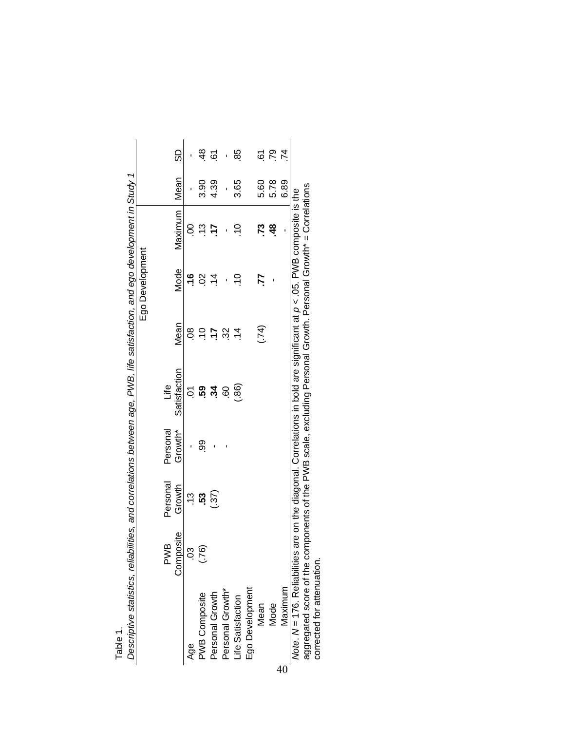|                 |          | SD           |               |               | 4 G             | 1                | 85                |                 | 67   | .79           | 74      |                                                                                                                                  |                                                                                                                 |
|-----------------|----------|--------------|---------------|---------------|-----------------|------------------|-------------------|-----------------|------|---------------|---------|----------------------------------------------------------------------------------------------------------------------------------|-----------------------------------------------------------------------------------------------------------------|
|                 |          | Mean         |               | 3.90          | 4.39            |                  | 3.65              |                 | 5.60 | 5.78          | 6.89    |                                                                                                                                  |                                                                                                                 |
|                 |          | Maximum      | S             | $\frac{3}{2}$ | -17             |                  | $\frac{1}{2}$     |                 | 73.  | $\frac{8}{4}$ | ı       |                                                                                                                                  |                                                                                                                 |
| Ego Development |          | <b>Mode</b>  | <u>م</u>      | So            | $\frac{4}{1}$   |                  | $\frac{1}{2}$     |                 | 77   |               |         |                                                                                                                                  |                                                                                                                 |
|                 |          | <b>Mean</b>  | 80            | $\frac{1}{2}$ | -17             | 32               | $\dot{z}$         |                 | (51) |               |         |                                                                                                                                  |                                                                                                                 |
|                 | ه<br>أنا | Satisfaction | Š             | 59.           | 34              | S9               | (.86)             |                 |      |               |         |                                                                                                                                  |                                                                                                                 |
|                 | Personal | Growth*      |               | 9             |                 |                  |                   |                 |      |               |         |                                                                                                                                  |                                                                                                                 |
|                 | Personal | Growth       | $\frac{3}{2}$ | 53            | (37)            |                  |                   |                 |      |               |         |                                                                                                                                  |                                                                                                                 |
|                 | PWB      | Composite    | <u>යි</u>     | (92)          |                 |                  |                   |                 |      |               |         |                                                                                                                                  |                                                                                                                 |
|                 |          |              | Age           | PWB Composite | Personal Growth | Personal Growth* | Life Satisfaction | Ego Development | Mean | Mode          | Maximum | Note. $N = 176$ . Reliabilities are on the diagonal. Correlations in bold are significant at $p \lt 0.05$ . PWB composite is the | aggregated score of the components of the PWB scale, excluding Personal Growth. Personal Growth* = Correlations |

| S                                                        |
|----------------------------------------------------------|
| ן היה היה המה המה האור<br>)<br>J                         |
|                                                          |
| ند<br>منا                                                |
| :<br>פ<br>ļ<br>Ċ                                         |
| היים סמם בייי                                            |
|                                                          |
| うと りとりそりこりょうり りとり りりぶこん<br><b>NNNNNNN</b><br>)<br>2<br>2 |
|                                                          |
| י<br>י^י יי<br>3<br>ŗ                                    |
| Ī<br>:<br>)<br>)                                         |
| í                                                        |

40

aggregated score of the components of the PWB scale, excluding Personal Growth. Personal Growth\* = Correlations .<br>פ ر<br>^ aggregated soore or the compo<br>corrected for attenuation. corrected for attenuation.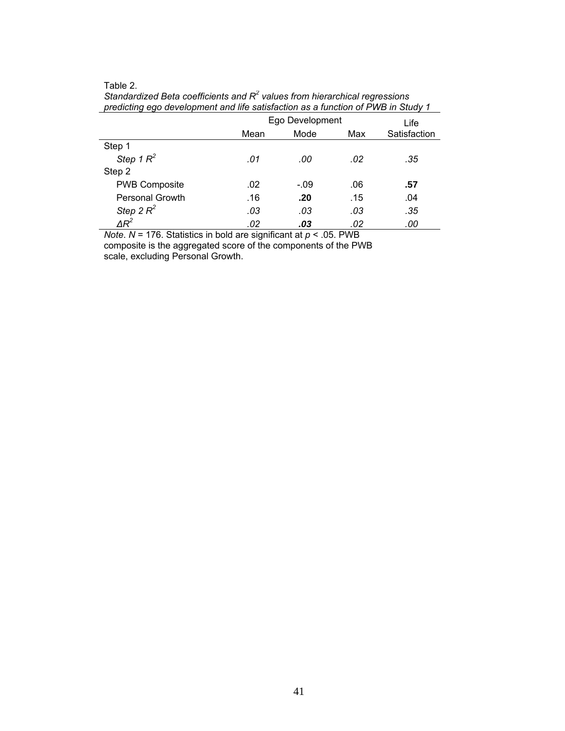#### Table 2.

| prodicting ago actorprison and the cationaction as a ranction on the in-otacy in |      |                 |     |              |
|----------------------------------------------------------------------------------|------|-----------------|-----|--------------|
|                                                                                  |      | Ego Development |     | Life         |
|                                                                                  | Mean | Mode            | Max | Satisfaction |
| Step 1                                                                           |      |                 |     |              |
| Step 1 $R^2$                                                                     | .01  | .00             | .02 | .35          |
| Step 2                                                                           |      |                 |     |              |
| <b>PWB Composite</b>                                                             | .02  | $-.09$          | .06 | .57          |
| <b>Personal Growth</b>                                                           | .16  | .20             | .15 | .04          |
| Step 2 $R^2$                                                                     | .03  | .03             | .03 | .35          |
| $\varDelta R^2$                                                                  | .02  | .03             | .02 | .00          |

Standardized Beta coefficients and R<sup>2</sup> values from hierarchical regressions *predicting ego development and life satisfaction as a function of PWB in Study 1* 

*Note*. *N* = 176. Statistics in bold are significant at *p* < .05. PWB

composite is the aggregated score of the components of the PWB scale, excluding Personal Growth.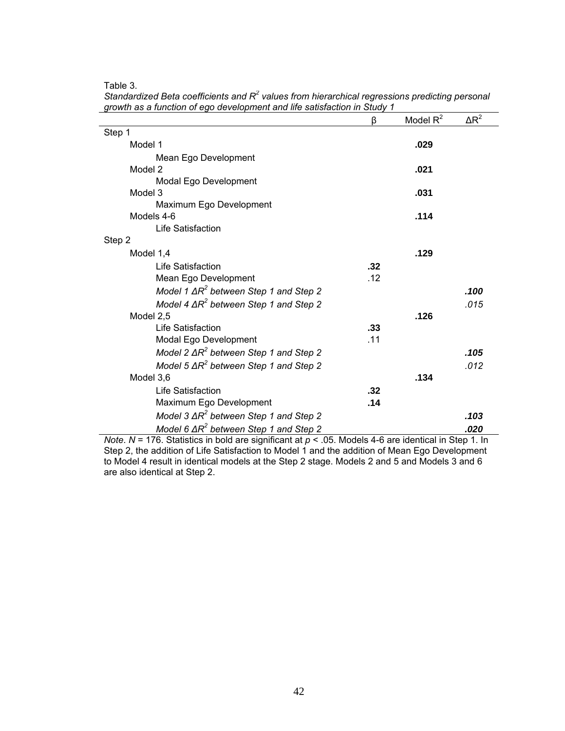Table 3.

|                                                | β   | Model $R^2$ | $\Delta R^2$ |
|------------------------------------------------|-----|-------------|--------------|
| Step 1                                         |     |             |              |
| Model 1                                        |     | .029        |              |
| Mean Ego Development                           |     |             |              |
| Model 2                                        |     | .021        |              |
| Modal Ego Development                          |     |             |              |
| Model 3                                        |     | .031        |              |
| Maximum Ego Development                        |     |             |              |
| Models 4-6                                     |     | .114        |              |
| Life Satisfaction                              |     |             |              |
| Step 2                                         |     |             |              |
| Model 1,4                                      |     | .129        |              |
| Life Satisfaction                              | .32 |             |              |
| Mean Ego Development                           | .12 |             |              |
| Model 1 $\Delta R^2$ between Step 1 and Step 2 |     |             | .100         |
| Model 4 $\Delta R^2$ between Step 1 and Step 2 |     |             | .015         |
| Model 2,5                                      |     | .126        |              |
| Life Satisfaction                              | .33 |             |              |
| Modal Ego Development                          | .11 |             |              |
| Model 2 $\Delta R^2$ between Step 1 and Step 2 |     |             | .105         |
| Model 5 $\Delta R^2$ between Step 1 and Step 2 |     |             | .012         |
| Model 3,6                                      |     | .134        |              |
| Life Satisfaction                              | .32 |             |              |
| Maximum Ego Development                        | .14 |             |              |
| Model 3 $\Delta R^2$ between Step 1 and Step 2 |     |             | .103         |
| Model 6 $\Delta R^2$ between Step 1 and Step 2 |     |             | .020         |

Standardized Beta coefficients and R<sup>2</sup> values from hierarchical regressions predicting personal *growth as a function of ego development and life satisfaction in Study 1* 

*Note*. *N* = 176. Statistics in bold are significant at *p* < .05. Models 4-6 are identical in Step 1. In Step 2, the addition of Life Satisfaction to Model 1 and the addition of Mean Ego Development to Model 4 result in identical models at the Step 2 stage. Models 2 and 5 and Models 3 and 6 are also identical at Step 2.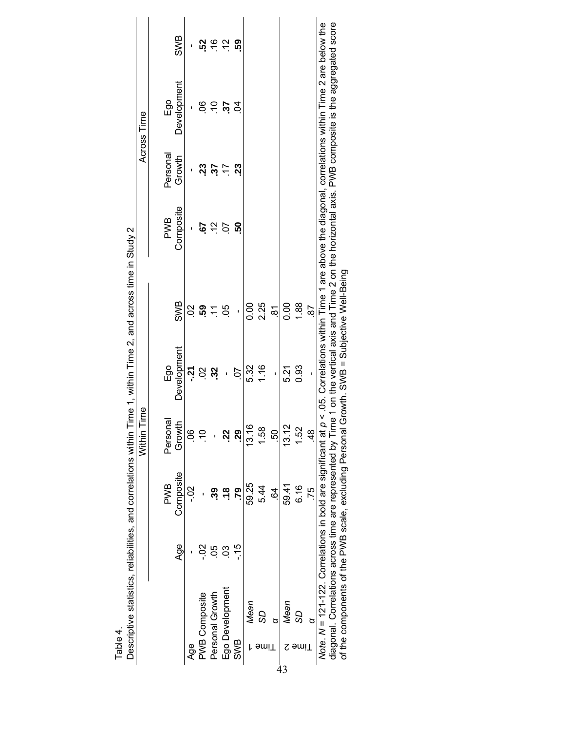|                                                                                                                                                            |                |                                 | Within Time   |                                     |                |                                                                                                          |                | Across Time     |               |
|------------------------------------------------------------------------------------------------------------------------------------------------------------|----------------|---------------------------------|---------------|-------------------------------------|----------------|----------------------------------------------------------------------------------------------------------|----------------|-----------------|---------------|
|                                                                                                                                                            |                |                                 |               |                                     |                |                                                                                                          |                |                 |               |
|                                                                                                                                                            |                | <b>PWB</b>                      | Personal      | Ego                                 |                | <b>PWB</b>                                                                                               | Personal       | Ego             |               |
|                                                                                                                                                            | Age            | Composite                       | 오<br>Growl    | Development                         | <b>SWB</b>     | Composite                                                                                                | Growth         | Development     | SWB           |
| Age                                                                                                                                                        |                | $\frac{2}{1}$                   | S             | اني                                 |                |                                                                                                          |                |                 |               |
| <b>PWB Composite</b>                                                                                                                                       | Soʻ            |                                 | $\frac{1}{2}$ | 02                                  | ខ្ញុំ ឆ្ពុំ ដ្ | -67                                                                                                      |                | 8Ō              | នុ            |
| Personal Growth                                                                                                                                            | $-0.5$         |                                 |               | 32                                  |                | $\frac{1}{2}$                                                                                            | 23<br>37       | $\overline{10}$ | $\frac{9}{7}$ |
| Ego Development                                                                                                                                            | $\overline{0}$ | $\overset{\bullet}{\mathbf{c}}$ | <u>sz</u>     | ı                                   | 80.            | ρÖ                                                                                                       | $\overline{1}$ | $\ddot{c}$      | $\frac{1}{2}$ |
| SWB                                                                                                                                                        | $-15$          | <b>P2</b>                       | <u>ვ</u>      | <b>20</b>                           | $\mathbf{I}$   | င္ဟ                                                                                                      | ಔ              | S,              | ၵ္ပ်က္        |
| Mean                                                                                                                                                       |                | 59.25                           | 13.16         | 5.32                                | 0.00           |                                                                                                          |                |                 |               |
| SS<br>əmiT                                                                                                                                                 |                | 5.44                            | 1.58          | 1.16                                | 2.25           |                                                                                                          |                |                 |               |
|                                                                                                                                                            |                | $\overline{6}$                  | 50            | ï                                   | $\overline{8}$ |                                                                                                          |                |                 |               |
| Mean<br>ट                                                                                                                                                  |                | 59.41                           | 13.12         | 5.21                                | 0.00           |                                                                                                          |                |                 |               |
| 99<br>∍miT                                                                                                                                                 |                | 6.16                            | 1.52          | 0.93                                | 1.88           |                                                                                                          |                |                 |               |
| p                                                                                                                                                          |                | 75                              | $\frac{4}{3}$ | $\mathbf{I}$                        | <b>87</b>      |                                                                                                          |                |                 |               |
| Note. $N = 121 - 122$ . Correlations in bold are significant at                                                                                            |                |                                 |               |                                     |                | $p \lt 05$ . Correlations within Time 1 are above the diagonal, correlations within Time 2 are below the |                |                 |               |
| diagonal. Correlations across time are represented by Time 1 on the vertical axis and Time 2 on the horizontal axis. PWB composite is the aggregated score |                |                                 |               |                                     |                |                                                                                                          |                |                 |               |
| of the components of the PWB scale, excluding Personal                                                                                                     |                |                                 |               | Growth. SWB = Subjective Well-Being |                |                                                                                                          |                |                 |               |

Table 4.<br>Descriptive statistics, reliabilities, and correlations within Time 1, within Time 2, and across time in Study 2 Descriptive statistics, reliabilities, and correlations within Time 1, within Time 2, and across time in Study 2

Table 4.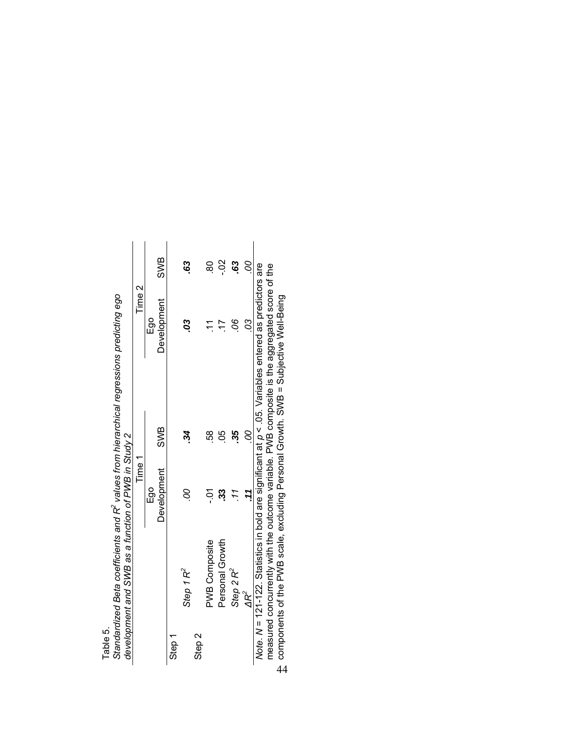|          | Standardized Beta coefficients and R <sup>ec</sup> values from hierarchical regressions predicting ego |                                                     |
|----------|--------------------------------------------------------------------------------------------------------|-----------------------------------------------------|
| Table 5. |                                                                                                        | development and SWB as a function of PWB in Study 2 |

|                                                                                                          | Time 1      |     | Time 2             |              |
|----------------------------------------------------------------------------------------------------------|-------------|-----|--------------------|--------------|
|                                                                                                          | Ego         |     | Ego                |              |
|                                                                                                          | Development | SWB | <b>Development</b> | SWB          |
| Step 1                                                                                                   |             |     |                    |              |
| Step 1 $R^2$                                                                                             | S           | 34  | S                  | 63           |
| Step 2                                                                                                   |             |     |                    |              |
| <b>PWB Composite</b>                                                                                     | $-5$        | 58  |                    | 8            |
| Personal Growth                                                                                          | က္ပိ        | 80  | 77                 | So'          |
| Step 2 $R^2$                                                                                             |             | 35. | 8                  | $\mathbf{S}$ |
| $\Delta R^2$                                                                                             |             | ó   | S                  | S            |
| Note. N = 121-122. Statistics in bold are significant at $p < .05$ . Variables entered as predictors are |             |     |                    |              |
| measured concurrently with the outcome variable. PWB composite is the aggregated score of the            |             |     |                    |              |
| rais Cutto in David After Cutto Alisa Casaca Descende Attornation at the cutto of the commence           |             |     |                    |              |

components of the PWB scale, excluding Personal Growth. SWB = Subjective Well-Being the PWB scale, excluding Personal Growth. SWB = Subjective Well-Being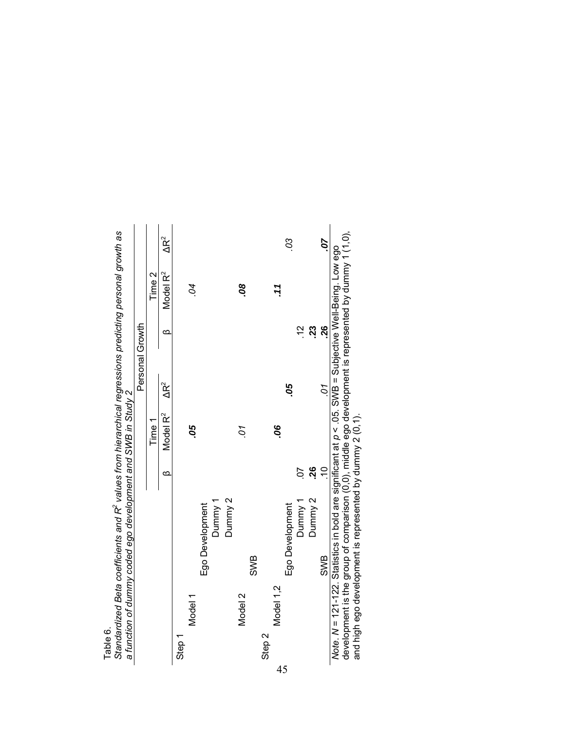|                   |           | standardized beta coetriceritis and K values incinitations predictions predicting personal growth as<br>a function of dummy coded ego development and SWB in Study 2                                                           |                                  |                 |                           |              |
|-------------------|-----------|--------------------------------------------------------------------------------------------------------------------------------------------------------------------------------------------------------------------------------|----------------------------------|-----------------|---------------------------|--------------|
|                   |           |                                                                                                                                                                                                                                |                                  | Personal Growth |                           |              |
|                   |           |                                                                                                                                                                                                                                | Time 1                           |                 | Time 2                    |              |
|                   |           |                                                                                                                                                                                                                                | Model R <sup>2</sup><br>$\infty$ | $\Delta R^2$    | Model R <sup>2</sup><br>Ø | $\Delta R^2$ |
| Step 1            |           |                                                                                                                                                                                                                                |                                  |                 |                           |              |
|                   | Model 1   |                                                                                                                                                                                                                                | 80.                              |                 | $\overline{\mathcal{C}}$  |              |
|                   |           | Ego Development                                                                                                                                                                                                                |                                  |                 |                           |              |
|                   |           | Dummy 1                                                                                                                                                                                                                        |                                  |                 |                           |              |
|                   |           | Dunnny <sub>2</sub>                                                                                                                                                                                                            |                                  |                 |                           |              |
|                   | Model 2   |                                                                                                                                                                                                                                | LO.                              |                 | 80                        |              |
|                   |           | SWB                                                                                                                                                                                                                            |                                  |                 |                           |              |
| Step <sub>2</sub> |           |                                                                                                                                                                                                                                |                                  |                 |                           |              |
|                   | Model 1,2 |                                                                                                                                                                                                                                | 80.                              |                 | .11                       |              |
|                   |           | Ego Development                                                                                                                                                                                                                |                                  | 80              |                           | CS           |
|                   |           | Dummy 1                                                                                                                                                                                                                        | $\overline{0}$                   |                 | $\frac{1}{2}$             |              |
|                   |           | Dunnny 2                                                                                                                                                                                                                       | 26                               |                 | .23                       |              |
|                   |           | SWB                                                                                                                                                                                                                            | $\frac{1}{2}$                    | $\overline{c}$  | .26                       | 70.          |
|                   |           | Note. N = 121-122. Statistics in bold are significant at $p < 05$ . SWB = Subjective Well-Being. Low ego                                                                                                                       |                                  |                 |                           |              |
|                   |           | IC Of the strains with a strains and the community of O O and the community of the strains of the strains community of the community of the community of the community of the community of the community of the community of t |                                  |                 |                           |              |

onal growth as Standardized Beta coefficients and R<sup>2</sup> values from hierarchical regressions predicting personal growth as े radictin ممنعه Table 6.<br>Standardized Beta coefficients and R<sup>2</sup> values from bierarchical regre

Table 6.

development is the group of comparison (0,0), middle ego development is represented by dummy 1 (1,0),<br>and high ego development is represented by dummy 2 (0,1). development is the group of comparison (0,0), middle ego development is represented by dummy 1 (1,0), and high ego development is represented by dummy 2 (0,1).